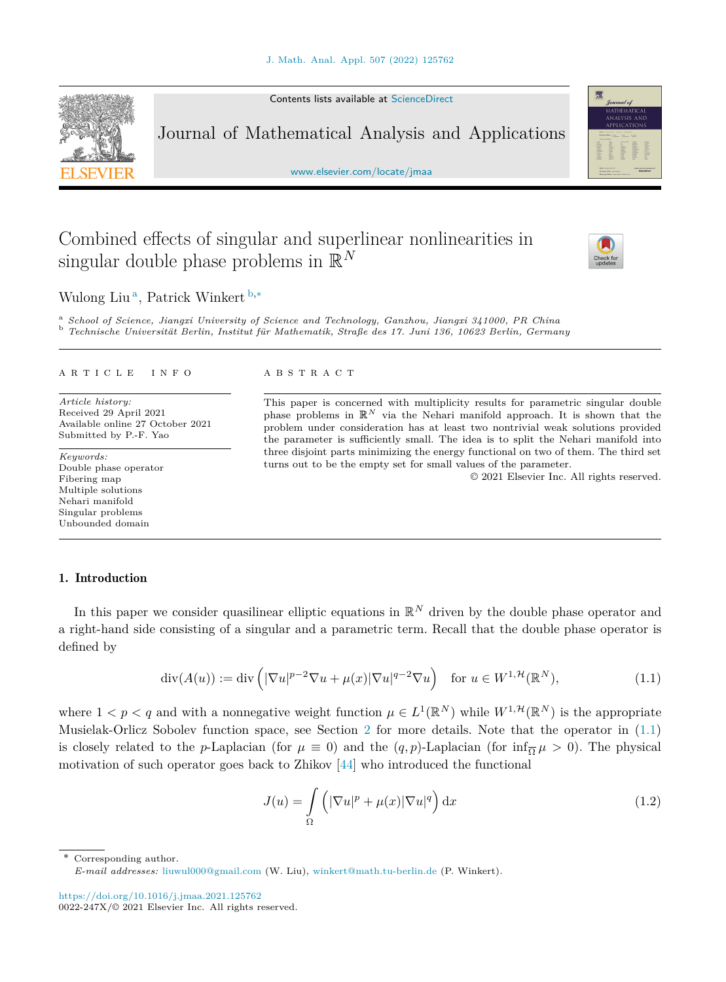Contents lists available at [ScienceDirect](http://www.ScienceDirect.com/)

Journal of Mathematical Analysis and Applications

[www.elsevier.com/locate/jmaa](http://www.elsevier.com/locate/jmaa)

# Combined effects of singular and superlinear nonlinearities in singular double phase problems in R*<sup>N</sup>*

Wulong Liu <sup>a</sup>, Patrick Winkert <sup>b</sup>*,*<sup>∗</sup>

<sup>a</sup> School of Science, Jiangxi University of Science and Technology, Ganzhou, Jiangxi 341000, PR China<br><sup>b</sup> Technische Universität Berlin, Institut für Mathematik, Straße des 17. Juni 136, 10623 Berlin, Germany

#### A R T I C L E I N F O A B S T R A C T

*Article history:* Received 29 April 2021 Available online 27 October 2021 Submitted by P.-F. Yao

*Keywords:* Double phase operator Fibering map Multiple solutions Nehari manifold Singular problems Unbounded domain

This paper is concerned with multiplicity results for parametric singular double phase problems in  $\mathbb{R}^N$  via the Nehari manifold approach. It is shown that the problem under consideration has at least two nontrivial weak solutions provided the parameter is sufficiently small. The idea is to split the Nehari manifold into three disjoint parts minimizing the energy functional on two of them. The third set turns out to be the empty set for small values of the parameter.

© 2021 Elsevier Inc. All rights reserved.

# 1. Introduction

In this paper we consider quasilinear elliptic equations in  $\mathbb{R}^N$  driven by the double phase operator and a right-hand side consisting of a singular and a parametric term. Recall that the double phase operator is defined by

$$
\operatorname{div}(A(u)) := \operatorname{div}\left( |\nabla u|^{p-2} \nabla u + \mu(x) |\nabla u|^{q-2} \nabla u \right) \quad \text{for } u \in W^{1, \mathcal{H}}(\mathbb{R}^N), \tag{1.1}
$$

where  $1 < p < q$  and with a nonnegative weight function  $\mu \in L^1(\mathbb{R}^N)$  while  $W^{1,\mathcal{H}}(\mathbb{R}^N)$  is the appropriate Musielak-Orlicz Sobolev function space, see Section [2](#page-3-0) for more details. Note that the operator in (1.1) is closely related to the *p*-Laplacian (for  $\mu \equiv 0$ ) and the  $(q, p)$ -Laplacian (for  $\inf_{\overline{\Omega}} \mu > 0$ ). The physical motivation of such operator goes back to Zhikov [\[44\]](#page-18-0) who introduced the functional

$$
J(u) = \int_{\Omega} \left( |\nabla u|^p + \mu(x) |\nabla u|^q \right) dx \tag{1.2}
$$

\* Corresponding author. *E-mail addresses:* [liuwul000@gmail.com](mailto:liuwul000@gmail.com) (W. Liu), [winkert@math.tu-berlin.de](mailto:winkert@math.tu-berlin.de) (P. Winkert).

<https://doi.org/10.1016/j.jmaa.2021.125762>  $0022 - 247X/© 2021$  Elsevier Inc. All rights reserved.

<span id="page-0-0"></span>



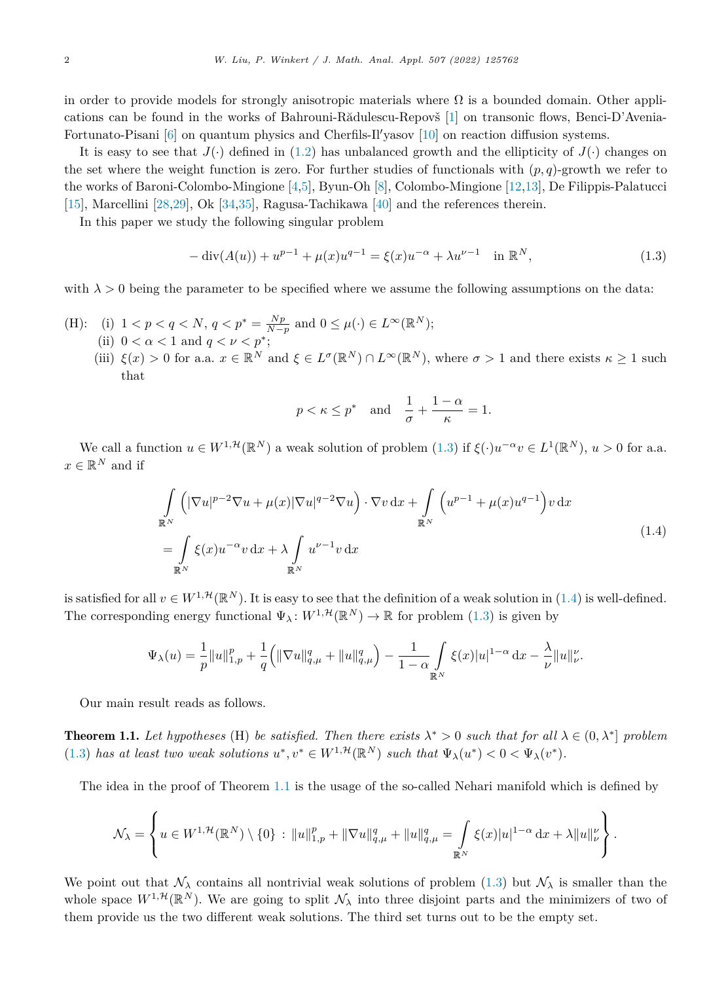<span id="page-1-0"></span>in order to provide models for strongly anisotropic materials where  $\Omega$  is a bounded domain. Other applications can be found in the works of Bahrouni-Rădulescu-Repovš [[1\]](#page-17-0) on transonic flows, Benci-D'Avenia-Fortunato-Pisani [[6\]](#page-17-0) on quantum physics and Cherfils-Il'yasov [\[10](#page-17-0)] on reaction diffusion systems.

It is easy to see that  $J(\cdot)$  defined in [\(1.2](#page-0-0)) has unbalanced growth and the ellipticity of  $J(\cdot)$  changes on the set where the weight function is zero. For further studies of functionals with  $(p, q)$ -growth we refer to the works of Baroni-Colombo-Mingione [\[4](#page-17-0),[5\]](#page-17-0), Byun-Oh [[8\]](#page-17-0), Colombo-Mingione [\[12](#page-17-0),[13\]](#page-17-0), De Filippis-Palatucci [[15\]](#page-17-0), Marcellini [\[28,29](#page-17-0)], Ok [\[34,35](#page-17-0)], Ragusa-Tachikawa [\[40](#page-18-0)] and the references therein.

In this paper we study the following singular problem

$$
-\operatorname{div}(A(u)) + u^{p-1} + \mu(x)u^{q-1} = \xi(x)u^{-\alpha} + \lambda u^{p-1} \quad \text{in } \mathbb{R}^N,
$$
\n(1.3)

with  $\lambda > 0$  being the parameter to be specified where we assume the following assumptions on the data:

- (H): (i)  $1 < p < q < N$ ,  $q < p^* = \frac{Np}{N-p}$  and  $0 \le \mu(\cdot) \in L^{\infty}(\mathbb{R}^N)$ ; (ii)  $0 < \alpha < 1$  and  $q < \nu < p^*$ ;
	- (iii)  $\xi(x) > 0$  for a.a.  $x \in \mathbb{R}^N$  and  $\xi \in L^{\sigma}(\mathbb{R}^N) \cap L^{\infty}(\mathbb{R}^N)$ , where  $\sigma > 1$  and there exists  $\kappa \geq 1$  such that

$$
p < \kappa \le p^*
$$
 and  $\frac{1}{\sigma} + \frac{1-\alpha}{\kappa} = 1.$ 

We call a function  $u \in W^{1,\mathcal{H}}(\mathbb{R}^N)$  a weak solution of problem  $(1.3)$  if  $\xi(\cdot)u^{-\alpha}v \in L^1(\mathbb{R}^N)$ ,  $u > 0$  for a.a.  $x \in \mathbb{R}^N$  and if

$$
\int_{\mathbb{R}^N} \left( |\nabla u|^{p-2} \nabla u + \mu(x) |\nabla u|^{q-2} \nabla u \right) \cdot \nabla v \, dx + \int_{\mathbb{R}^N} \left( u^{p-1} + \mu(x) u^{q-1} \right) v \, dx
$$
\n
$$
= \int_{\mathbb{R}^N} \xi(x) u^{-\alpha} v \, dx + \lambda \int_{\mathbb{R}^N} u^{\nu-1} v \, dx \tag{1.4}
$$

is satisfied for all  $v \in W^{1,\mathcal{H}}(\mathbb{R}^N)$ . It is easy to see that the definition of a weak solution in (1.4) is well-defined. The corresponding energy functional  $\Psi_{\lambda}: W^{1,\mathcal{H}}(\mathbb{R}^N) \to \mathbb{R}$  for problem (1.3) is given by

$$
\Psi_{\lambda}(u) = \frac{1}{p} ||u||_{1,p}^{p} + \frac{1}{q} (||\nabla u||_{q,\mu}^{q} + ||u||_{q,\mu}^{q}) - \frac{1}{1-\alpha} \int_{\mathbb{R}^{N}} \xi(x) |u|^{1-\alpha} dx - \frac{\lambda}{\nu} ||u||_{\nu}^{\nu}.
$$

Our main result reads as follows.

**Theorem 1.1.** Let hypotheses (H) be satisfied. Then there exists  $\lambda^* > 0$  such that for all  $\lambda \in (0, \lambda^*)$  problem (1.3) has at least two weak solutions  $u^*, v^* \in W^{1,\mathcal{H}}(\mathbb{R}^N)$  such that  $\Psi_\lambda(u^*) < 0 < \Psi_\lambda(v^*)$ .

The idea in the proof of Theorem 1.1 is the usage of the so-called Nehari manifold which is defined by

$$
\mathcal{N}_{\lambda} = \left\{ u \in W^{1, \mathcal{H}}(\mathbb{R}^{N}) \setminus \{0\} : \|u\|_{1, p}^{p} + \|\nabla u\|_{q, \mu}^{q} + \|u\|_{q, \mu}^{q} = \int_{\mathbb{R}^{N}} \xi(x)|u|^{1-\alpha} dx + \lambda \|u\|_{\nu}^{\nu} \right\}.
$$

We point out that  $\mathcal{N}_{\lambda}$  contains all nontrivial weak solutions of problem (1.3) but  $\mathcal{N}_{\lambda}$  is smaller than the whole space  $W^{1,\mathcal{H}}(\mathbb{R}^N)$ . We are going to split  $\mathcal{N}_{\lambda}$  into three disjoint parts and the minimizers of two of them provide us the two different weak solutions. The third set turns out to be the empty set.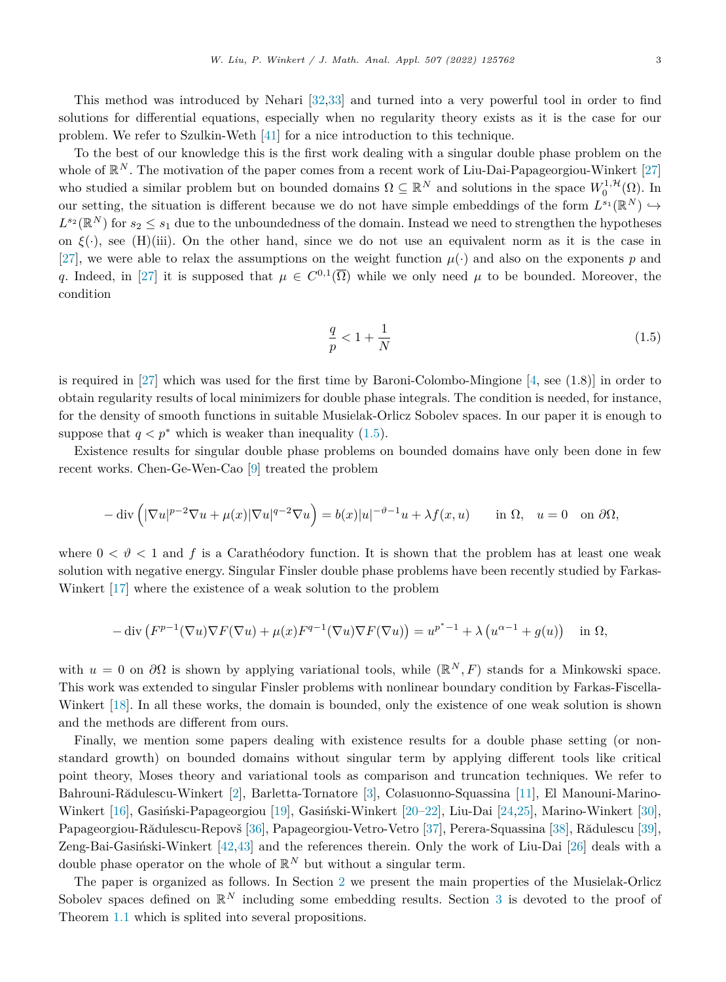This method was introduced by Nehari [[32,33\]](#page-17-0) and turned into a very powerful tool in order to find solutions for differential equations, especially when no regularity theory exists as it is the case for our problem. We refer to Szulkin-Weth [[41\]](#page-18-0) for a nice introduction to this technique.

To the best of our knowledge this is the first work dealing with a singular double phase problem on the whole of  $\mathbb{R}^N$ . The motivation of the paper comes from a recent work of Liu-Dai-Papageorgiou-Winkert [\[27](#page-17-0)] who studied a similar problem but on bounded domains  $\Omega \subseteq \mathbb{R}^N$  and solutions in the space  $W_0^{1,\mathcal{H}}(\Omega)$ . In our setting, the situation is different because we do not have simple embeddings of the form  $L^{s_1}(\mathbb{R}^N) \hookrightarrow$  $L^{s_2}(\mathbb{R}^N)$  for  $s_2 \leq s_1$  due to the unboundedness of the domain. Instead we need to strengthen the hypotheses on  $\xi(.)$ , see (H)(iii). On the other hand, since we do not use an equivalent norm as it is the case in [[27\]](#page-17-0), we were able to relax the assumptions on the weight function  $\mu(\cdot)$  and also on the exponents *p* and *q*. Indeed, in [[27\]](#page-17-0) it is supposed that  $\mu \in C^{0,1}(\overline{\Omega})$  while we only need  $\mu$  to be bounded. Moreover, the condition

$$
\frac{q}{p} < 1 + \frac{1}{N} \tag{1.5}
$$

is required in  $[27]$  $[27]$  which was used for the first time by Baroni-Colombo-Mingione  $[4, \text{see } (1.8)]$  $[4, \text{see } (1.8)]$  in order to obtain regularity results of local minimizers for double phase integrals. The condition is needed, for instance, for the density of smooth functions in suitable Musielak-Orlicz Sobolev spaces. In our paper it is enough to suppose that  $q < p^*$  which is weaker than inequality (1.5).

Existence results for singular double phase problems on bounded domains have only been done in few recent works. Chen-Ge-Wen-Cao [[9\]](#page-17-0) treated the problem

$$
-\operatorname{div}\left(|\nabla u|^{p-2}\nabla u + \mu(x)|\nabla u|^{q-2}\nabla u\right) = b(x)|u|^{-\vartheta-1}u + \lambda f(x,u) \quad \text{in } \Omega, \quad u = 0 \quad \text{on } \partial\Omega,
$$

where  $0 < \vartheta < 1$  and f is a Carathéodory function. It is shown that the problem has at least one weak solution with negative energy. Singular Finsler double phase problems have been recently studied by Farkas-Winkert [[17\]](#page-17-0) where the existence of a weak solution to the problem

$$
-\operatorname{div}\left(F^{p-1}(\nabla u)\nabla F(\nabla u)+\mu(x)F^{q-1}(\nabla u)\nabla F(\nabla u)\right)=u^{p^*-1}+\lambda\left(u^{\alpha-1}+g(u)\right)\quad\text{in }\Omega,
$$

with  $u = 0$  on  $\partial\Omega$  is shown by applying variational tools, while ( $\mathbb{R}^N, F$ ) stands for a Minkowski space. This work was extended to singular Finsler problems with nonlinear boundary condition by Farkas-Fiscella-Winkert [\[18](#page-17-0)]. In all these works, the domain is bounded, only the existence of one weak solution is shown and the methods are different from ours.

Finally, we mention some papers dealing with existence results for a double phase setting (or nonstandard growth) on bounded domains without singular term by applying different tools like critical point theory, Moses theory and variational tools as comparison and truncation techniques. We refer to Bahrouni-Rădulescu-Winkert [\[2](#page-17-0)], Barletta-Tornatore [\[3](#page-17-0)], Colasuonno-Squassina [\[11](#page-17-0)], El Manouni-Marino-Winkert [\[16\]](#page-17-0), Gasiński-Papageorgiou [\[19\]](#page-17-0), Gasiński-Winkert [\[20–22](#page-17-0)], Liu-Dai [[24,25\]](#page-17-0), Marino-Winkert [\[30\]](#page-17-0), Papageorgiou-Rădulescu-Repovš [\[36](#page-18-0)], Papageorgiou-Vetro-Vetro [\[37](#page-18-0)], Perera-Squassina [\[38](#page-18-0)], Rădulescu [\[39\]](#page-18-0), Zeng-Bai-Gasiński-Winkert [\[42,43](#page-18-0)] and the references therein. Only the work of Liu-Dai [[26\]](#page-17-0) deals with a double phase operator on the whole of  $\mathbb{R}^N$  but without a singular term.

The paper is organized as follows. In Section [2](#page-3-0) we present the main properties of the Musielak-Orlicz Sobolev spaces defined on  $\mathbb{R}^N$  including some embedding results. Section [3](#page-4-0) is devoted to the proof of Theorem [1.1](#page-1-0) which is splited into several propositions.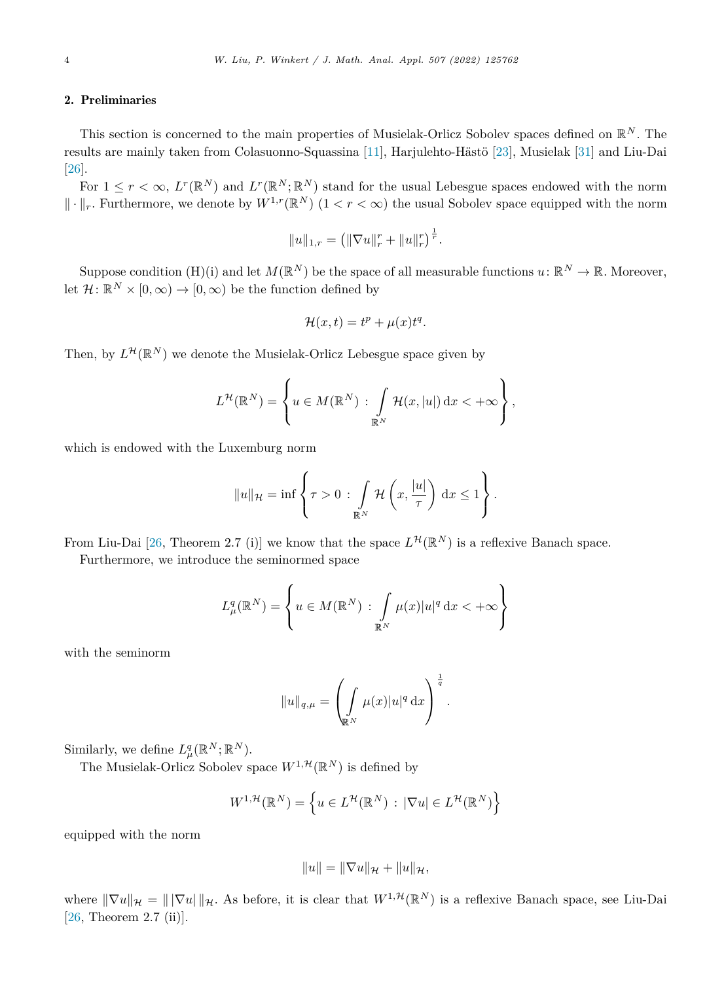## <span id="page-3-0"></span>2. Preliminaries

This section is concerned to the main properties of Musielak-Orlicz Sobolev spaces defined on R*<sup>N</sup>* . The results are mainly taken from Colasuonno-Squassina [\[11](#page-17-0)], Harjulehto-Hästö [\[23](#page-17-0)], Musielak [[31\]](#page-17-0) and Liu-Dai [[26\]](#page-17-0).

For  $1 \leq r \leq \infty$ ,  $L^r(\mathbb{R}^N)$  and  $L^r(\mathbb{R}^N;\mathbb{R}^N)$  stand for the usual Lebesgue spaces endowed with the norm  $\|\cdot\|_r$ . Furthermore, we denote by  $W^{1,r}(\mathbb{R}^N)$   $(1 < r < \infty)$  the usual Sobolev space equipped with the norm

$$
||u||_{1,r} = (||\nabla u||_r^r + ||u||_r^r)^{\frac{1}{r}}.
$$

Suppose condition  $(H)(i)$  and let  $M(\mathbb{R}^N)$  be the space of all measurable functions  $u: \mathbb{R}^N \to \mathbb{R}$ . Moreover, let  $\mathcal{H}: \mathbb{R}^N \times [0, \infty) \to [0, \infty)$  be the function defined by

$$
\mathcal{H}(x,t) = t^p + \mu(x)t^q.
$$

Then, by  $L^{\mathcal{H}}(\mathbb{R}^N)$  we denote the Musielak-Orlicz Lebesgue space given by

$$
L^{\mathcal{H}}(\mathbb{R}^N) = \left\{ u \in M(\mathbb{R}^N) : \int_{\mathbb{R}^N} \mathcal{H}(x, |u|) dx < +\infty \right\},\,
$$

which is endowed with the Luxemburg norm

$$
||u||_{\mathcal{H}} = \inf \left\{ \tau > 0 : \int_{\mathbb{R}^N} \mathcal{H} \left( x, \frac{|u|}{\tau} \right) dx \le 1 \right\}.
$$

From Liu-Dai [[26,](#page-17-0) Theorem 2.7 (i)] we know that the space  $L^{\mathcal{H}}(\mathbb{R}^N)$  is a reflexive Banach space.

Furthermore, we introduce the seminormed space

$$
L^q_\mu(\mathbb{R}^N) = \left\{ u \in M(\mathbb{R}^N) : \int_{\mathbb{R}^N} \mu(x) |u|^q \, \mathrm{d}x < +\infty \right\}
$$

with the seminorm

$$
||u||_{q,\mu} = \left(\int_{\mathbb{R}^N} \mu(x)|u|^q dx\right)^{\frac{1}{q}}.
$$

Similarly, we define  $L^q_\mu(\mathbb{R}^N;\mathbb{R}^N)$ .

The Musielak-Orlicz Sobolev space  $W^{1,\mathcal{H}}(\mathbb{R}^N)$  is defined by

$$
W^{1,\mathcal{H}}(\mathbb{R}^N) = \left\{ u \in L^{\mathcal{H}}(\mathbb{R}^N) : |\nabla u| \in L^{\mathcal{H}}(\mathbb{R}^N) \right\}
$$

equipped with the norm

$$
||u|| = ||\nabla u||_{\mathcal{H}} + ||u||_{\mathcal{H}},
$$

where  $\|\nabla u\|_{\mathcal{H}} = \|\nabla u\|_{\mathcal{H}}$ . As before, it is clear that  $W^{1,\mathcal{H}}(\mathbb{R}^N)$  is a reflexive Banach space, see Liu-Dai [[26,](#page-17-0) Theorem 2.7 (ii)].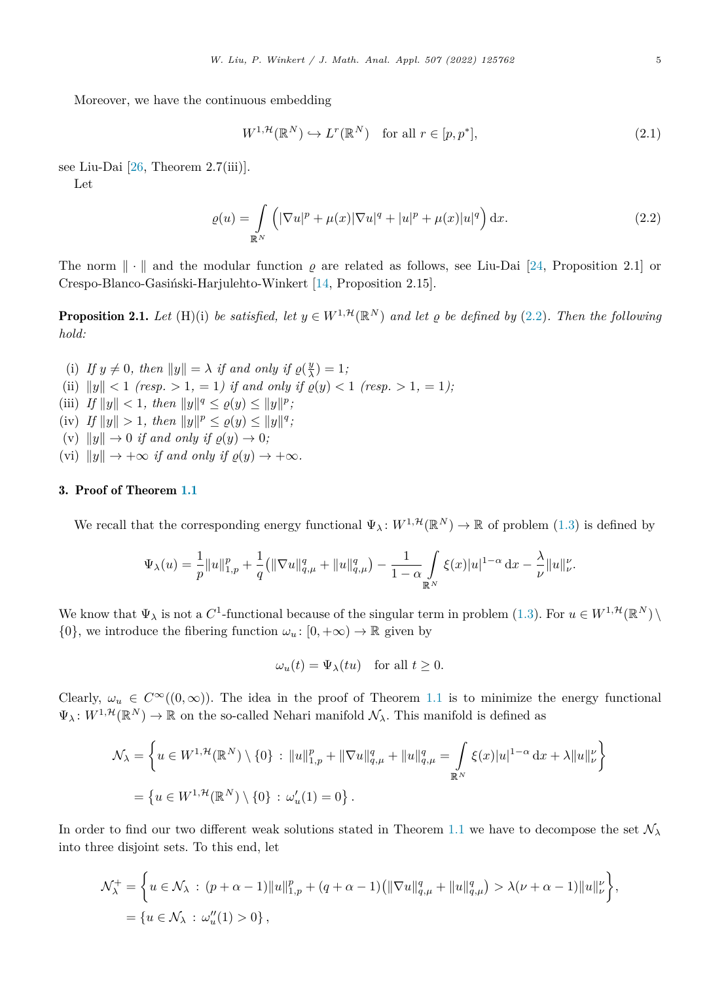<span id="page-4-0"></span>Moreover, we have the continuous embedding

$$
W^{1,\mathcal{H}}(\mathbb{R}^N) \hookrightarrow L^r(\mathbb{R}^N) \quad \text{for all } r \in [p,p^*],
$$
\n(2.1)

see Liu-Dai [\[26](#page-17-0), Theorem 2.7(iii)].

Let

$$
\varrho(u) = \int\limits_{\mathbb{R}^N} \left( |\nabla u|^p + \mu(x) |\nabla u|^q + |u|^p + \mu(x) |u|^q \right) dx.
$$
 (2.2)

The norm  $\|\cdot\|$  and the modular function  $\rho$  are related as follows, see Liu-Dai [\[24](#page-17-0), Proposition 2.1] or Crespo-Blanco-Gasiński-Harjulehto-Winkert [[14,](#page-17-0) Proposition 2.15].

**Proposition 2.1.** Let (H)(i) be satisfied, let  $y \in W^{1,\mathcal{H}}(\mathbb{R}^N)$  and let  $\varrho$  be defined by (2.2). Then the following *hold:*

- (i) If  $y \neq 0$ , then  $||y|| = \lambda$  if and only if  $\rho(\frac{y}{\lambda}) = 1$ ;
- (ii)  $||y|| < 1$  (resp. > 1, = 1) if and only if  $\rho(y) < 1$  (resp. > 1, = 1);
- (iii) *If*  $||y|| < 1$ *, then*  $||y||^q \leq \varrho(y) \leq ||y||^p$ *;*
- $\|f\|_y \| > 1$ , then  $\|y\|^p \leq \varrho(y) \leq \|y\|^q$ ;
- (v)  $||y|| \rightarrow 0$  *if and only if*  $\varrho(y) \rightarrow 0$ *;*
- (vi)  $||y|| \rightarrow +\infty$  *if and only if*  $\rho(y) \rightarrow +\infty$ *.*

# 3. Proof of Theorem [1.1](#page-1-0)

We recall that the corresponding energy functional  $\Psi_{\lambda}: W^{1,\mathcal{H}}(\mathbb{R}^{N}) \to \mathbb{R}$  of problem [\(1.3](#page-1-0)) is defined by

$$
\Psi_{\lambda}(u) = \frac{1}{p} ||u||_{1,p}^{p} + \frac{1}{q} (||\nabla u||_{q,\mu}^{q} + ||u||_{q,\mu}^{q}) - \frac{1}{1-\alpha} \int_{\mathbb{R}^{N}} \xi(x) |u|^{1-\alpha} dx - \frac{\lambda}{\nu} ||u||_{\nu}^{\nu}.
$$

We know that  $\Psi_{\lambda}$  is not a  $C^1$ -functional because of the singular term in problem ([1.3](#page-1-0)). For  $u \in W^{1,\mathcal{H}}(\mathbb{R}^N) \setminus$  $\{0\}$ , we introduce the fibering function  $\omega_u : [0, +\infty) \to \mathbb{R}$  given by

$$
\omega_u(t) = \Psi_\lambda(tu) \quad \text{for all } t \ge 0.
$$

Clearly,  $\omega_u \in C^{\infty}((0,\infty))$ . The idea in the proof of Theorem [1.1](#page-1-0) is to minimize the energy functional  $\Psi_{\lambda}: W^{1,\mathcal{H}}(\mathbb{R}^{N}) \to \mathbb{R}$  on the so-called Nehari manifold  $\mathcal{N}_{\lambda}$ . This manifold is defined as

$$
\mathcal{N}_{\lambda} = \left\{ u \in W^{1, \mathcal{H}}(\mathbb{R}^{N}) \setminus \{0\} : \|u\|_{1, p}^{p} + \|\nabla u\|_{q, \mu}^{q} + \|u\|_{q, \mu}^{q} = \int_{\mathbb{R}^{N}} \xi(x)|u|^{1-\alpha} dx + \lambda \|u\|_{\nu}^{p} \right\}
$$
  
= 
$$
\left\{ u \in W^{1, \mathcal{H}}(\mathbb{R}^{N}) \setminus \{0\} : \omega_{u}'(1) = 0 \right\}.
$$

In order to find our two different weak solutions stated in Theorem [1.1](#page-1-0) we have to decompose the set  $\mathcal{N}_{\lambda}$ into three disjoint sets. To this end, let

$$
\mathcal{N}_{\lambda}^{+} = \left\{ u \in \mathcal{N}_{\lambda} : (p + \alpha - 1) ||u||_{1,p}^{p} + (q + \alpha - 1) (||\nabla u||_{q,\mu}^{q} + ||u||_{q,\mu}^{q}) > \lambda(\nu + \alpha - 1) ||u||_{\nu}^{\nu} \right\},
$$
  
=  $\{ u \in \mathcal{N}_{\lambda} : \omega_{u}''(1) > 0 \},$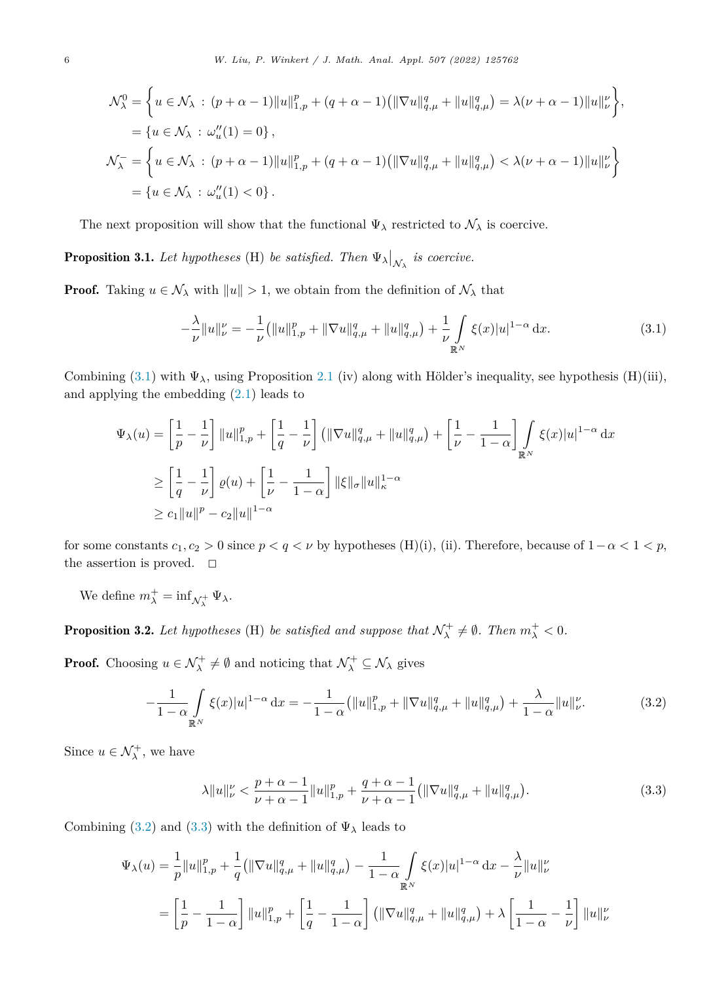<span id="page-5-0"></span>
$$
\mathcal{N}_{\lambda}^{0} = \left\{ u \in \mathcal{N}_{\lambda} : (p + \alpha - 1) ||u||_{1, p}^{p} + (q + \alpha - 1) (||\nabla u||_{q, \mu}^{q} + ||u||_{q, \mu}^{q}) = \lambda(\nu + \alpha - 1) ||u||_{\nu}^{\nu} \right\},
$$
  
\n
$$
= \left\{ u \in \mathcal{N}_{\lambda} : \omega_{u}''(1) = 0 \right\},
$$
  
\n
$$
\mathcal{N}_{\lambda}^{-} = \left\{ u \in \mathcal{N}_{\lambda} : (p + \alpha - 1) ||u||_{1, p}^{p} + (q + \alpha - 1) (||\nabla u||_{q, \mu}^{q} + ||u||_{q, \mu}^{q}) < \lambda(\nu + \alpha - 1) ||u||_{\nu}^{\nu} \right\}
$$
  
\n
$$
= \left\{ u \in \mathcal{N}_{\lambda} : \omega_{u}''(1) < 0 \right\}.
$$

The next proposition will show that the functional  $\Psi_{\lambda}$  restricted to  $\mathcal{N}_{\lambda}$  is coercive.

**Proposition 3.1.** Let hypotheses (H) be satisfied. Then  $\Psi_{\lambda}|_{\mathcal{N}_{\lambda}}$  is coercive.

**Proof.** Taking  $u \in \mathcal{N}_{\lambda}$  with  $||u|| > 1$ , we obtain from the definition of  $\mathcal{N}_{\lambda}$  that

$$
-\frac{\lambda}{\nu}||u||_{\nu}^{\nu} = -\frac{1}{\nu} (||u||_{1,p}^{p} + ||\nabla u||_{q,\mu}^{q} + ||u||_{q,\mu}^{q}) + \frac{1}{\nu} \int_{\mathbb{R}^{N}} \xi(x)|u|^{1-\alpha} dx.
$$
\n(3.1)

Combining  $(3.1)$  with  $\Psi_{\lambda}$ , using Proposition [2.1](#page-4-0) (iv) along with Hölder's inequality, see hypothesis (H)(iii), and applying the embedding [\(2.1\)](#page-4-0) leads to

$$
\Psi_{\lambda}(u) = \left[\frac{1}{p} - \frac{1}{\nu}\right] \|u\|_{1,p}^p + \left[\frac{1}{q} - \frac{1}{\nu}\right] \left(\|\nabla u\|_{q,\mu}^q + \|u\|_{q,\mu}^q\right) + \left[\frac{1}{\nu} - \frac{1}{1-\alpha}\right] \int_{\mathbb{R}^N} \xi(x)|u|^{1-\alpha} dx
$$
  
\n
$$
\geq \left[\frac{1}{q} - \frac{1}{\nu}\right] \varrho(u) + \left[\frac{1}{\nu} - \frac{1}{1-\alpha}\right] \|\xi\|_{\sigma} \|u\|_{\kappa}^{1-\alpha}
$$
  
\n
$$
\geq c_1 \|u\|^p - c_2 \|u\|^{1-\alpha}
$$

for some constants  $c_1, c_2 > 0$  since  $p < q < \nu$  by hypotheses (H)(i), (ii). Therefore, because of  $1 - \alpha < 1 < p$ , the assertion is proved.  $\Box$ 

We define  $m_{\lambda}^{+} = \inf_{\mathcal{N}_{\lambda}^{+}} \Psi_{\lambda}$ .

**Proposition 3.2.** Let hypotheses (H) be satisfied and suppose that  $\mathcal{N}^{\perp}_{\lambda} \neq \emptyset$ . Then  $m^{\perp}_{\lambda} < 0$ .

**Proof.** Choosing  $u \in \mathcal{N}^+_{\lambda} \neq \emptyset$  and noticing that  $\mathcal{N}^+_{\lambda} \subseteq \mathcal{N}_{\lambda}$  gives

$$
-\frac{1}{1-\alpha} \int_{\mathbb{R}^N} \xi(x)|u|^{1-\alpha} dx = -\frac{1}{1-\alpha} \left( \|u\|_{1,p}^p + \|\nabla u\|_{q,\mu}^q + \|u\|_{q,\mu}^q \right) + \frac{\lambda}{1-\alpha} \|u\|_{\nu}^{\nu}.
$$
 (3.2)

Since  $u \in \mathcal{N}_{\lambda}^{+}$ , we have

$$
\lambda \|u\|_{\nu}^{\nu} < \frac{p+\alpha-1}{\nu+\alpha-1} \|u\|_{1,p}^p + \frac{q+\alpha-1}{\nu+\alpha-1} \left( \|\nabla u\|_{q,\mu}^q + \|u\|_{q,\mu}^q \right). \tag{3.3}
$$

Combining (3.2) and (3.3) with the definition of  $\Psi_{\lambda}$  leads to

$$
\Psi_{\lambda}(u) = \frac{1}{p} ||u||_{1,p}^{p} + \frac{1}{q} (||\nabla u||_{q,\mu}^{q} + ||u||_{q,\mu}^{q}) - \frac{1}{1-\alpha} \int_{\mathbb{R}^{N}} \xi(x) |u|^{1-\alpha} dx - \frac{\lambda}{\nu} ||u||_{\nu}^{\nu}
$$

$$
= \left[\frac{1}{p} - \frac{1}{1-\alpha}\right] ||u||_{1,p}^{p} + \left[\frac{1}{q} - \frac{1}{1-\alpha}\right] (||\nabla u||_{q,\mu}^{q} + ||u||_{q,\mu}^{q}) + \lambda \left[\frac{1}{1-\alpha} - \frac{1}{\nu}\right] ||u||_{\nu}^{\nu}
$$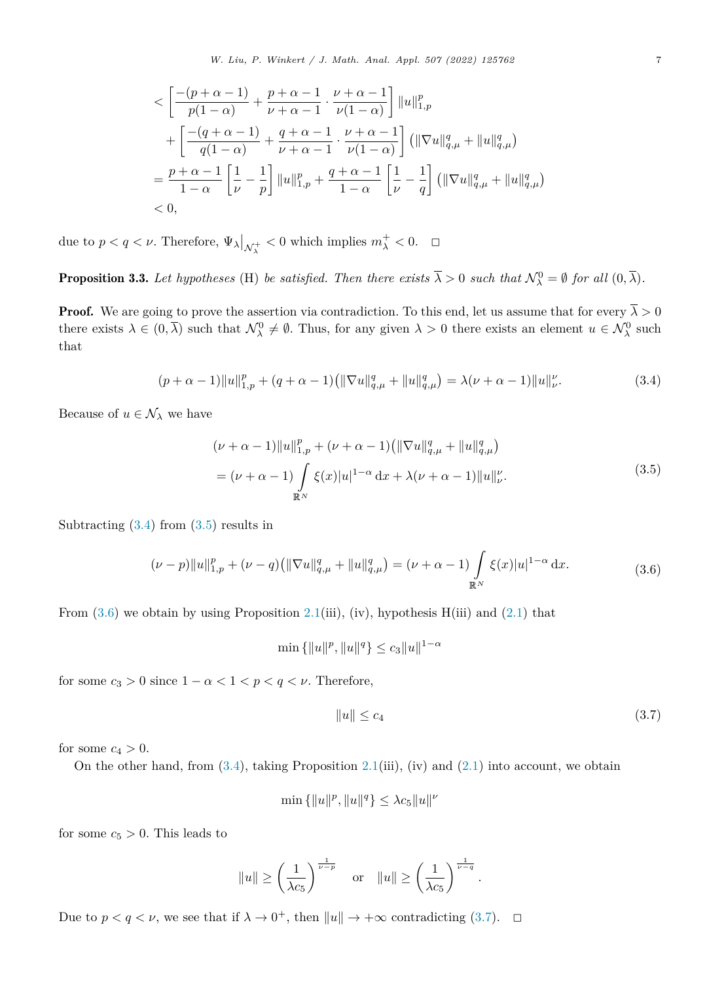<span id="page-6-0"></span>
$$
$$
\begin{aligned}\n& < \left[ \frac{-(p+\alpha-1)}{p(1-\alpha)} + \frac{p+\alpha-1}{\nu+\alpha-1} \cdot \frac{\nu+\alpha-1}{\nu(1-\alpha)} \right] ||u||_{1,p}^p \\
& &+ \left[ \frac{-(q+\alpha-1)}{q(1-\alpha)} + \frac{q+\alpha-1}{\nu+\alpha-1} \cdot \frac{\nu+\alpha-1}{\nu(1-\alpha)} \right] (||\nabla u||_{q,\mu}^q + ||u||_{q,\mu}^q) \\
& = \frac{p+\alpha-1}{1-\alpha} \left[ \frac{1}{\nu} - \frac{1}{p} \right] ||u||_{1,p}^p + \frac{q+\alpha-1}{1-\alpha} \left[ \frac{1}{\nu} - \frac{1}{q} \right] (||\nabla u||_{q,\mu}^q + ||u||_{q,\mu}^q) \\
&< 0,\n\end{aligned}
$$
$$

due to  $p < q < \nu$ . Therefore,  $\Psi_{\lambda}|_{\mathcal{N}_{\lambda}^{+}} < 0$  which implies  $m_{\lambda}^{+} < 0$ .  $\Box$ 

**Proposition 3.3.** Let hypotheses (H) be satisfied. Then there exists  $\overline{\lambda} > 0$  such that  $\mathcal{N}_{\lambda}^{0} = \emptyset$  for all  $(0, \overline{\lambda})$ .

**Proof.** We are going to prove the assertion via contradiction. To this end, let us assume that for every  $\overline{\lambda} > 0$ there exists  $\lambda \in (0, \overline{\lambda})$  such that  $\mathcal{N}^0_{\lambda} \neq \emptyset$ . Thus, for any given  $\lambda > 0$  there exists an element  $u \in \mathcal{N}^0_{\lambda}$  such that

$$
(p+\alpha-1)||u||_{1,p}^p + (q+\alpha-1)(||\nabla u||_{q,\mu}^q + ||u||_{q,\mu}^q) = \lambda(\nu+\alpha-1)||u||_{\nu}^{\nu}.
$$
 (3.4)

Because of  $u \in \mathcal{N}_{\lambda}$  we have

$$
(\nu + \alpha - 1) \|u\|_{1,p}^p + (\nu + \alpha - 1) \left( \|\nabla u\|_{q,\mu}^q + \|u\|_{q,\mu}^q \right)
$$
  
= 
$$
(\nu + \alpha - 1) \int_{\mathbb{R}^N} \xi(x) |u|^{1-\alpha} dx + \lambda(\nu + \alpha - 1) \|u\|_{\nu}^{\nu}.
$$
 (3.5)

Subtracting  $(3.4)$  from  $(3.5)$  results in

$$
(\nu - p) \|u\|_{1,p}^p + (\nu - q) \left( \|\nabla u\|_{q,\mu}^q + \|u\|_{q,\mu}^q \right) = (\nu + \alpha - 1) \int\limits_{\mathbb{R}^N} \xi(x) |u|^{1-\alpha} dx.
$$
 (3.6)

From  $(3.6)$  we obtain by using Proposition [2.1\(](#page-4-0)iii), (iv), hypothesis H(iii) and  $(2.1)$  $(2.1)$  that

$$
\min\left\{\|u\|^p, \|u\|^q\right\} \le c_3 \|u\|^{1-\alpha}
$$

for some  $c_3 > 0$  since  $1 - \alpha < 1 < p < q < \nu$ . Therefore,

$$
||u|| \leq c_4 \tag{3.7}
$$

for some  $c_4 > 0$ .

On the other hand, from  $(3.4)$ , taking Proposition [2.1](#page-4-0)(iii), (iv) and  $(2.1)$  into account, we obtain

$$
\min\left\lbrace \Vert u\Vert^p, \Vert u\Vert^q\right\rbrace \leq \lambda c_5 \Vert u\Vert^{\nu}
$$

for some  $c_5 > 0$ . This leads to

$$
||u|| \ge \left(\frac{1}{\lambda c_5}\right)^{\frac{1}{\nu - p}} \quad \text{or} \quad ||u|| \ge \left(\frac{1}{\lambda c_5}\right)^{\frac{1}{\nu - q}}.
$$

Due to  $p < q < \nu$ , we see that if  $\lambda \to 0^+$ , then  $||u|| \to +\infty$  contradicting (3.7).  $\Box$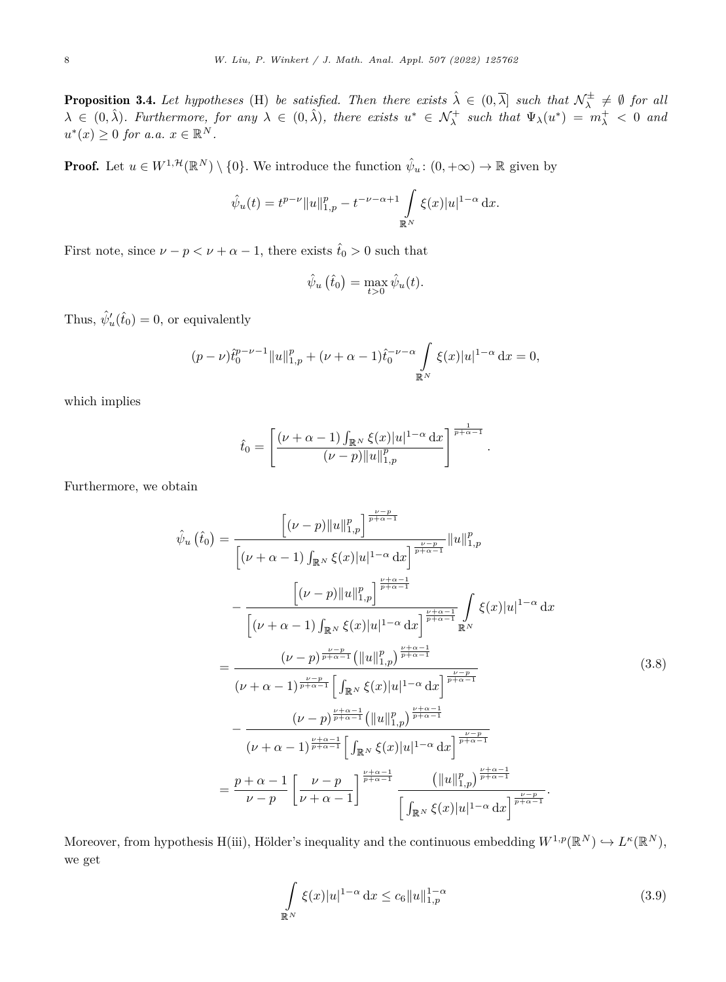<span id="page-7-0"></span>**Proposition 3.4.** Let hypotheses (H) be satisfied. Then there exists  $\hat{\lambda} \in (0, \overline{\lambda}]$  such that  $\mathcal{N}_{\lambda}^{\pm} \neq \emptyset$  for all  $\lambda \in (0, \hat{\lambda})$ . Furthermore, for any  $\lambda \in (0, \hat{\lambda})$ , there exists  $u^* \in \mathcal{N}^+_{\lambda}$  such that  $\Psi_{\lambda}(u^*) = m_{\lambda}^+ < 0$  and  $u^{*}(x) \geq 0$  *for a.a.*  $x \in \mathbb{R}^{N}$ *.* 

**Proof.** Let  $u \in W^{1,\mathcal{H}}(\mathbb{R}^N) \setminus \{0\}$ . We introduce the function  $\hat{\psi}_u : (0, +\infty) \to \mathbb{R}$  given by

$$
\hat{\psi}_u(t) = t^{p-\nu} \|u\|_{1,p}^p - t^{-\nu - \alpha + 1} \int_{\mathbb{R}^N} \xi(x) |u|^{1-\alpha} dx.
$$

First note, since  $\nu - p < \nu + \alpha - 1$ , there exists  $\hat{t}_0 > 0$  such that

$$
\hat{\psi}_u\left(\hat{t}_0\right) = \max_{t>0} \hat{\psi}_u(t).
$$

Thus,  $\hat{\psi}'_u(\hat{t}_0) = 0$ , or equivalently

$$
(p - \nu)\hat{t}_0^{p - \nu - 1} \|u\|_{1,p}^p + (\nu + \alpha - 1)\hat{t}_0^{-\nu - \alpha} \int\limits_{\mathbb{R}^N} \xi(x)|u|^{1-\alpha} dx = 0,
$$

which implies

$$
\hat{t}_0 = \left[ \frac{(\nu + \alpha - 1) \int_{\mathbb{R}^N} \xi(x) |u|^{1-\alpha} dx}{(\nu - p) ||u||_{1,p}^p} \right]^{\frac{1}{p+\alpha-1}}.
$$

Furthermore, we obtain

$$
\hat{\psi}_{u}(\hat{t}_{0}) = \frac{\left[ (\nu - p) ||u||_{1,p}^{p} \right]^{\frac{\nu - p}{p + \alpha - 1}}}{\left[ (\nu + \alpha - 1) \int_{\mathbb{R}^{N}} \xi(x) |u|^{1 - \alpha} dx \right]^{\frac{\nu - p}{p + \alpha - 1}}} ||u||_{1,p}^{p}
$$
\n
$$
- \frac{\left[ (\nu - p) ||u||_{1,p}^{p} \right]^{\frac{\nu + \alpha - 1}{p + \alpha - 1}}}{\left[ (\nu + \alpha - 1) \int_{\mathbb{R}^{N}} \xi(x) |u|^{1 - \alpha} dx \right]^{\frac{\nu + \alpha - 1}{p + \alpha - 1}}} \int_{\mathbb{R}^{N}} \xi(x) |u|^{1 - \alpha} dx
$$
\n
$$
= \frac{(\nu - p)^{\frac{\nu - p}{p + \alpha - 1}}}{(\nu + \alpha - 1)^{\frac{\nu - p}{p + \alpha - 1}}} \left[ \int_{\mathbb{R}^{N}} \xi(x) |u|^{1 - \alpha} dx \right]^{\frac{\nu - p}{p + \alpha - 1}}
$$
\n
$$
- \frac{(\nu - p)^{\frac{\nu + \alpha - 1}{p + \alpha - 1}}}{(\nu + \alpha - 1)^{\frac{\nu + \alpha - 1}{p + \alpha - 1}}} \left[ \int_{\mathbb{R}^{N}} \xi(x) |u|^{1 - \alpha} dx \right]^{\frac{\nu - p}{p + \alpha - 1}}
$$
\n
$$
= \frac{p + \alpha - 1}{\nu - p} \left[ \frac{\nu - p}{\nu + \alpha - 1} \right]^{\frac{\nu + \alpha - 1}{p + \alpha - 1}} \frac{(||u||_{1,p}^{p})^{\frac{\nu + \alpha - 1}{p + \alpha - 1}}}{\left[ \int_{\mathbb{R}^{N}} \xi(x) |u|^{1 - \alpha} dx \right]^{\frac{\nu - p}{p + \alpha - 1}}}.
$$
\n(A.38)

Moreover, from hypothesis H(iii), Hölder's inequality and the continuous embedding  $W^{1,p}(\mathbb{R}^N) \hookrightarrow L^{\kappa}(\mathbb{R}^N)$ , we get

$$
\int_{\mathbb{R}^N} \xi(x)|u|^{1-\alpha} dx \le c_6 \|u\|_{1,p}^{1-\alpha}
$$
\n(3.9)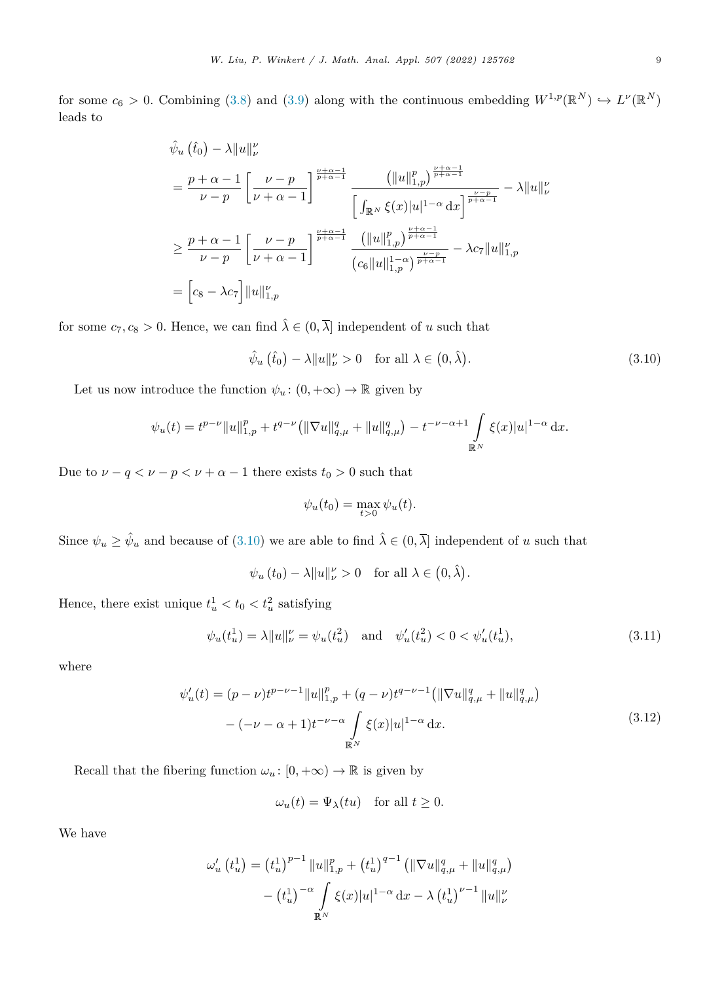<span id="page-8-0"></span>for some  $c_6 > 0$ . Combining [\(3.8](#page-7-0)) and [\(3.9\)](#page-7-0) along with the continuous embedding  $W^{1,p}(\mathbb{R}^N) \hookrightarrow L^p(\mathbb{R}^N)$ leads to

$$
\hat{\psi}_{u}(\hat{t}_{0}) - \lambda \|u\|_{\nu}^{\nu}
$$
\n
$$
= \frac{p + \alpha - 1}{\nu - p} \left[ \frac{\nu - p}{\nu + \alpha - 1} \right]^{\frac{\nu + \alpha - 1}{p + \alpha - 1}} \frac{\left( \|u\|_{1, p}^{p} \right)^{\frac{\nu + \alpha - 1}{p + \alpha - 1}}}{\left[ \int_{\mathbb{R}^{N}} \xi(x)|u|^{1 - \alpha} dx \right]^{\frac{\nu - p}{p + \alpha - 1}}} - \lambda \|u\|_{\nu}^{\nu}
$$
\n
$$
\geq \frac{p + \alpha - 1}{\nu - p} \left[ \frac{\nu - p}{\nu + \alpha - 1} \right]^{\frac{\nu + \alpha - 1}{p + \alpha - 1}} \frac{\left( \|u\|_{1, p}^{p} \right)^{\frac{\nu + \alpha - 1}{p + \alpha - 1}}}{\left( c_{6} \|u\|_{1, p}^{1 - \alpha} \right)^{\frac{\nu - p}{p + \alpha - 1}}} - \lambda c_{7} \|u\|_{1, p}^{\nu}
$$
\n
$$
= \left[ c_{8} - \lambda c_{7} \right] \|u\|_{1, p}^{\nu}
$$

for some  $c_7, c_8 > 0$ . Hence, we can find  $\hat{\lambda} \in (0, \overline{\lambda}]$  independent of *u* such that

$$
\hat{\psi}_u(\hat{t}_0) - \lambda \|u\|_{\nu}^{\nu} > 0 \quad \text{for all } \lambda \in (0, \hat{\lambda}). \tag{3.10}
$$

Let us now introduce the function  $\psi_u: (0, +\infty) \to \mathbb{R}$  given by

$$
\psi_u(t) = t^{p-\nu} \|u\|_{1,p}^p + t^{q-\nu} \left( \|\nabla u\|_{q,\mu}^q + \|u\|_{q,\mu}^q \right) - t^{-\nu-\alpha+1} \int_{\mathbb{R}^N} \xi(x) |u|^{1-\alpha} dx.
$$

Due to  $\nu - q < \nu - p < \nu + \alpha - 1$  there exists  $t_0 > 0$  such that

$$
\psi_u(t_0) = \max_{t>0} \psi_u(t).
$$

Since  $\psi_u \geq \hat{\psi}_u$  and because of (3.10) we are able to find  $\hat{\lambda} \in (0, \overline{\lambda}]$  independent of *u* such that

 $\psi_u(t_0) - \lambda \|u\|_{\nu}^{\nu} > 0$  for all  $\lambda \in (0, \hat{\lambda})$ .

Hence, there exist unique  $t_u^1 < t_0 < t_u^2$  satisfying

$$
\psi_u(t_u^1) = \lambda \|u\|_{\nu}^{\nu} = \psi_u(t_u^2) \quad \text{and} \quad \psi_u'(t_u^2) < 0 < \psi_u'(t_u^1),\tag{3.11}
$$

where

$$
\psi'_u(t) = (p - \nu)t^{p - \nu - 1} \|u\|_{1,p}^p + (q - \nu)t^{q - \nu - 1} (\|\nabla u\|_{q,\mu}^q + \|u\|_{q,\mu}^q)
$$

$$
-(-\nu - \alpha + 1)t^{-\nu - \alpha} \int_{\mathbb{R}^N} \xi(x)|u|^{1 - \alpha} dx.
$$
\n(3.12)

Recall that the fibering function  $\omega_u : [0, +\infty) \to \mathbb{R}$  is given by

$$
\omega_u(t) = \Psi_\lambda(tu) \quad \text{for all } t \ge 0.
$$

We have

$$
\omega'_{u} (t_{u}^{1}) = (t_{u}^{1})^{p-1} ||u||_{1,p}^{p} + (t_{u}^{1})^{q-1} (||\nabla u||_{q,\mu}^{q} + ||u||_{q,\mu}^{q})
$$

$$
- (t_{u}^{1})^{-\alpha} \int_{\mathbb{R}^{N}} \xi(x) |u|^{1-\alpha} dx - \lambda (t_{u}^{1})^{\nu-1} ||u||_{\nu}^{\nu}
$$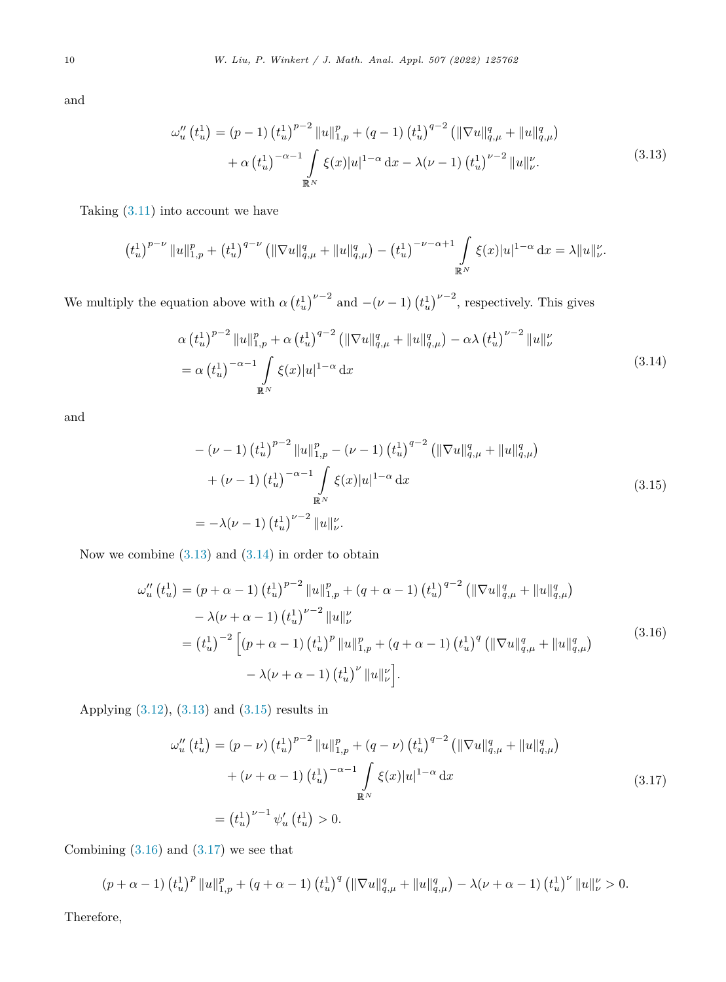and

$$
\omega_{u}''(t_{u}^{1}) = (p-1) (t_{u}^{1})^{p-2} \|u\|_{1,p}^{p} + (q-1) (t_{u}^{1})^{q-2} (\|\nabla u\|_{q,\mu}^{q} + \|u\|_{q,\mu}^{q})
$$
  
+  $\alpha (t_{u}^{1})^{-\alpha-1} \int_{\mathbb{R}^{N}} \xi(x) |u|^{1-\alpha} dx - \lambda(\nu-1) (t_{u}^{1})^{\nu-2} \|u\|_{\nu}^{\nu}.$  (3.13)

Taking [\(3.11](#page-8-0)) into account we have

$$
(t_u^1)^{p-\nu} \|u\|_{1,p}^p + (t_u^1)^{q-\nu} \left( \|\nabla u\|_{q,\mu}^q + \|u\|_{q,\mu}^q \right) - (t_u^1)^{-\nu-\alpha+1} \int\limits_{\mathbb{R}^N} \xi(x)|u|^{1-\alpha} \, \mathrm{d}x = \lambda \|u\|_{\nu}^{\nu}.
$$

We multiply the equation above with  $\alpha \left( t_u^1 \right)^{\nu-2}$  and  $-(\nu-1) \left( t_u^1 \right)^{\nu-2}$ , respectively. This gives

$$
\alpha \left(t_u^1\right)^{p-2} \|u\|_{1,p}^p + \alpha \left(t_u^1\right)^{q-2} \left( \|\nabla u\|_{q,\mu}^q + \|u\|_{q,\mu}^q \right) - \alpha \lambda \left(t_u^1\right)^{\nu-2} \|u\|_{\nu}^p
$$
\n
$$
= \alpha \left(t_u^1\right)^{-\alpha-1} \int_{\mathbb{R}^N} \xi(x)|u|^{1-\alpha} \, \mathrm{d}x \tag{3.14}
$$

and

$$
-(\nu - 1) (t_u^1)^{p-2} \|u\|_{1,p}^p - (\nu - 1) (t_u^1)^{q-2} (\|\nabla u\|_{q,\mu}^q + \|u\|_{q,\mu}^q)
$$
  
+ (\nu - 1) (t\_u^1)^{-\alpha-1} \int\_{\mathbb{R}^N} \xi(x)|u|^{1-\alpha} dx  
= -\lambda(\nu - 1) (t\_u^1)^{\nu-2} \|u\|\_{\nu}^{\nu}. (3.15)

Now we combine  $(3.13)$  and  $(3.14)$  in order to obtain

$$
\omega_{u}''(t_{u}^{1}) = (p + \alpha - 1) (t_{u}^{1})^{p-2} ||u||_{1,p}^{p} + (q + \alpha - 1) (t_{u}^{1})^{q-2} (||\nabla u||_{q,\mu}^{q} + ||u||_{q,\mu}^{q})
$$
  

$$
- \lambda(\nu + \alpha - 1) (t_{u}^{1})^{\nu-2} ||u||_{\nu}^{\nu}
$$
  

$$
= (t_{u}^{1})^{-2} [(p + \alpha - 1) (t_{u}^{1})^{p} ||u||_{1,p}^{p} + (q + \alpha - 1) (t_{u}^{1})^{q} (||\nabla u||_{q,\mu}^{q} + ||u||_{q,\mu}^{q})
$$
  

$$
- \lambda(\nu + \alpha - 1) (t_{u}^{1})^{\nu} ||u||_{\nu}^{\nu}].
$$
  
(3.16)

Applying [\(3.12](#page-8-0)), (3.13) and (3.15) results in

$$
\omega_{u}''(t_{u}^{1}) = (p - \nu) (t_{u}^{1})^{p-2} ||u||_{1,p}^{p} + (q - \nu) (t_{u}^{1})^{q-2} (||\nabla u||_{q,\mu}^{q} + ||u||_{q,\mu}^{q})
$$
  
+  $(\nu + \alpha - 1) (t_{u}^{1})^{-\alpha - 1} \int_{\mathbb{R}^{N}} \xi(x) |u|^{1-\alpha} dx$  (3.17)  
=  $(t_{u}^{1})^{\nu-1} \psi_{u}'(t_{u}^{1}) > 0.$ 

Combining  $(3.16)$  and  $(3.17)$  we see that

$$
(p+\alpha-1) \left(t_u^1\right)^p \|u\|_{1,p}^p + (q+\alpha-1) \left(t_u^1\right)^q \left(\|\nabla u\|_{q,\mu}^q + \|u\|_{q,\mu}^q\right) - \lambda(\nu+\alpha-1) \left(t_u^1\right)^{\nu} \|u\|_{\nu}^{\nu} > 0.
$$

Therefore,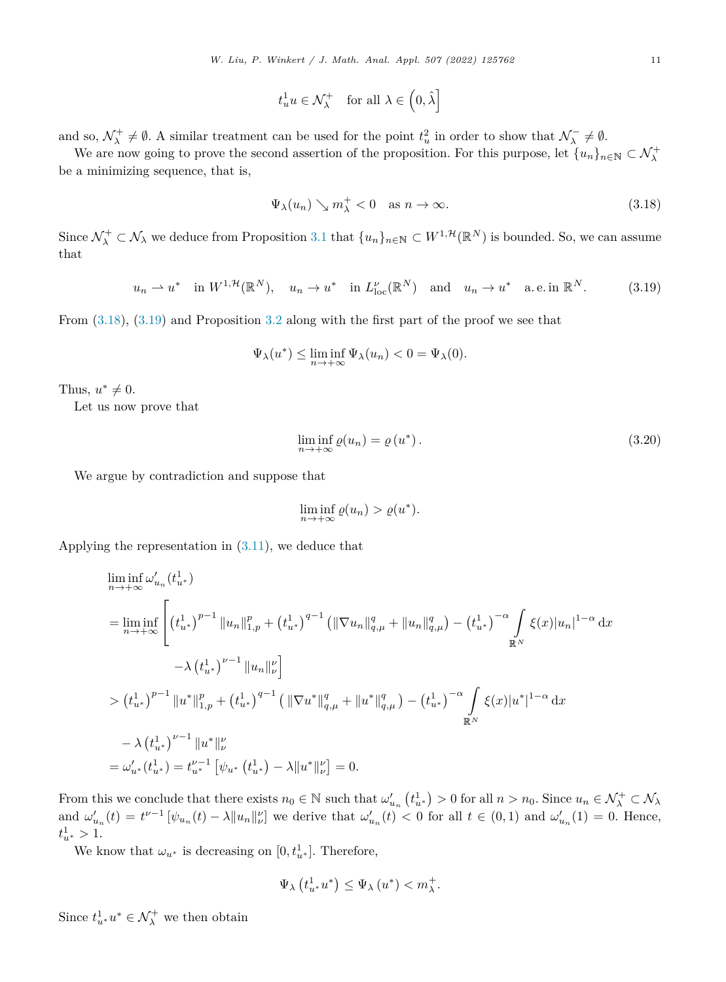$$
t_u^1 u \in \mathcal{N}_{\lambda}^+ \quad \text{for all } \lambda \in \left(0, \hat{\lambda}\right]
$$

<span id="page-10-0"></span>and so,  $\mathcal{N}_{\lambda}^{+} \neq \emptyset$ . A similar treatment can be used for the point  $t_{u}^{2}$  in order to show that  $\mathcal{N}_{\lambda}^{-} \neq \emptyset$ .

We are now going to prove the second assertion of the proposition. For this purpose, let  $\{u_n\}_{n\in\mathbb{N}}\subset\mathcal{N}^+_\lambda$ be a minimizing sequence, that is,

$$
\Psi_{\lambda}(u_n) \searrow m_{\lambda}^+ < 0 \quad \text{as } n \to \infty. \tag{3.18}
$$

Since  $\mathcal{N}^+_\lambda \subset \mathcal{N}_\lambda$  we deduce from Proposition [3.1](#page-5-0) that  $\{u_n\}_{n\in\mathbb{N}} \subset W^{1,\mathcal{H}}(\mathbb{R}^N)$  is bounded. So, we can assume that

$$
u_n \rightharpoonup u^*
$$
 in  $W^{1,\mathcal{H}}(\mathbb{R}^N)$ ,  $u_n \rightharpoonup u^*$  in  $L^{\nu}_{loc}(\mathbb{R}^N)$  and  $u_n \rightharpoonup u^*$  a.e. in  $\mathbb{R}^N$ . (3.19)

From (3.18), (3.19) and Proposition [3.2](#page-5-0) along with the first part of the proof we see that

$$
\Psi_{\lambda}(u^*) \le \liminf_{n \to +\infty} \Psi_{\lambda}(u_n) < 0 = \Psi_{\lambda}(0).
$$

Thus,  $u^* \neq 0$ .

Let us now prove that

$$
\liminf_{n \to +\infty} \varrho(u_n) = \varrho(u^*).
$$
\n(3.20)

We argue by contradiction and suppose that

$$
\liminf_{n \to +\infty} \varrho(u_n) > \varrho(u^*).
$$

Applying the representation in [\(3.11](#page-8-0)), we deduce that

$$
\liminf_{n \to +\infty} \omega'_{u_n}(t_{u^*}^1)
$$
\n
$$
= \liminf_{n \to +\infty} \left[ \left( t_{u^*}^1 \right)^{p-1} \|u_n\|_{1,p}^p + \left( t_{u^*}^1 \right)^{q-1} \left( \|\nabla u_n\|_{q,\mu}^q + \|u_n\|_{q,\mu}^q \right) - \left( t_{u^*}^1 \right)^{-\alpha} \int_{\mathbb{R}^N} \xi(x) |u_n|^{1-\alpha} dx \right.
$$
\n
$$
- \lambda \left( t_{u^*}^1 \right)^{\nu-1} \|u_n\|_{\nu}^{\nu} \right]
$$
\n
$$
> \left( t_{u^*}^1 \right)^{p-1} \|u^*\|_{1,p}^p + \left( t_{u^*}^1 \right)^{q-1} \left( \|\nabla u^*\|_{q,\mu}^q + \|u^*\|_{q,\mu}^q \right) - \left( t_{u^*}^1 \right)^{-\alpha} \int_{\mathbb{R}^N} \xi(x) |u^*|^{1-\alpha} dx
$$
\n
$$
- \lambda \left( t_{u^*}^1 \right)^{\nu-1} \|u^*\|_{\nu}^{\nu}
$$
\n
$$
= \omega'_{u^*}(t_{u^*}^1) = t_{u^*}^{\nu-1} \left[ \psi_{u^*}(t_{u^*}^1) - \lambda \|u^*\|_{\nu}^{\nu} \right] = 0.
$$

From this we conclude that there exists  $n_0 \in \mathbb{N}$  such that  $\omega'_{u_n}(t_{u^*}^1) > 0$  for all  $n > n_0$ . Since  $u_n \in \mathcal{N}^+_\lambda \subset \mathcal{N}_\lambda$ and  $\omega'_{u_n}(t) = t^{\nu-1} \left[ \psi_{u_n}(t) - \lambda \|u_n\|_{\nu}^{\nu} \right]$  we derive that  $\omega'_{u_n}(t) < 0$  for all  $t \in (0,1)$  and  $\omega'_{u_n}(1) = 0$ . Hence,  $t^1_{u^*} > 1.$ 

We know that  $\omega_{u^*}$  is decreasing on  $[0, t_{u^*}^1]$ . Therefore,

$$
\Psi_{\lambda}\left(t_{u^*}^1 u^*\right) \leq \Psi_{\lambda}\left(u^*\right) < m_{\lambda}^+.
$$

Since  $t_{u^*}^1 u^* \in \mathcal{N}^+_\lambda$  we then obtain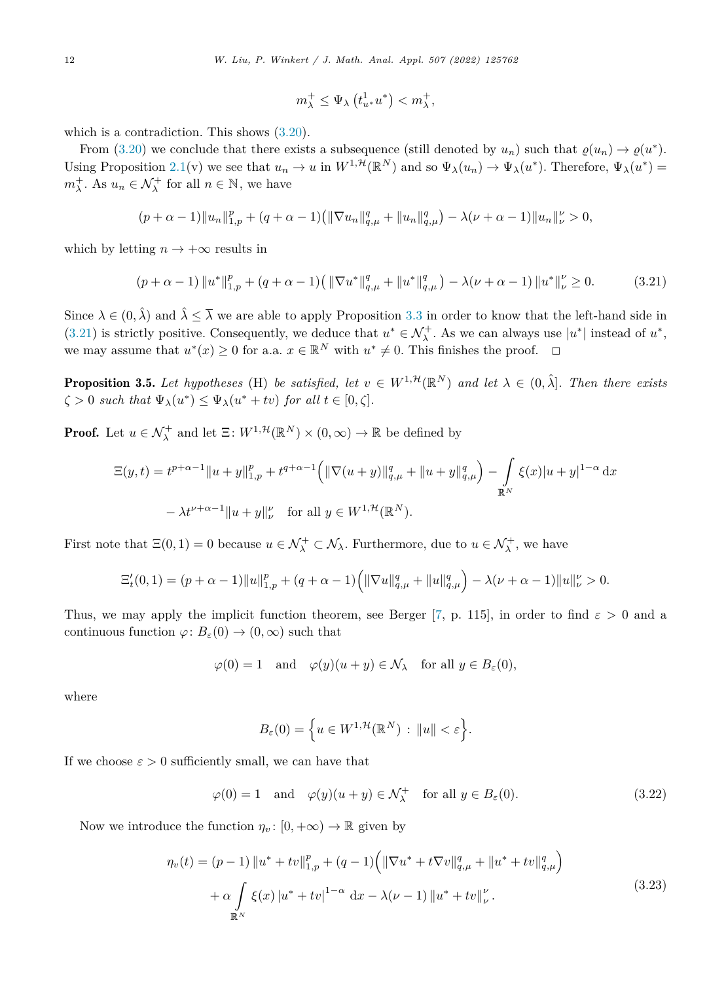$$
m_{\lambda}^+ \leq \Psi_{\lambda} \left( t_{u^*}^1 u^* \right) < m_{\lambda}^+,
$$

<span id="page-11-0"></span>which is a contradiction. This shows  $(3.20)$  $(3.20)$ .

From [\(3.20](#page-10-0)) we conclude that there exists a subsequence (still denoted by  $u_n$ ) such that  $\rho(u_n) \to \rho(u^*)$ . Using Proposition [2.1\(](#page-4-0)v) we see that  $u_n \to u$  in  $W^{1,\mathcal{H}}(\mathbb{R}^N)$  and so  $\Psi_\lambda(u_n) \to \Psi_\lambda(u^*)$ . Therefore,  $\Psi_\lambda(u^*) =$  $m_{\lambda}^{+}$ . As  $u_n \in \mathcal{N}_{\lambda}^{+}$  for all  $n \in \mathbb{N}$ , we have

$$
(p+\alpha-1)\|u_n\|_{1,p}^p+(q+\alpha-1)\left(\|\nabla u_n\|_{q,\mu}^q+\|u_n\|_{q,\mu}^q\right)-\lambda(\nu+\alpha-1)\|u_n\|_{\nu}^{\nu}>0,
$$

which by letting  $n \to +\infty$  results in

$$
(p + \alpha - 1) \|u^*\|_{1,p}^p + (q + \alpha - 1) \left( \|\nabla u^*\|_{q,\mu}^q + \|u^*\|_{q,\mu}^q \right) - \lambda(\nu + \alpha - 1) \|u^*\|_{\nu}^p \ge 0. \tag{3.21}
$$

Since  $\lambda \in (0, \hat{\lambda})$  and  $\hat{\lambda} \leq \overline{\lambda}$  we are able to apply Proposition [3.3](#page-6-0) in order to know that the left-hand side in (3.21) is strictly positive. Consequently, we deduce that  $u^* \in \mathcal{N}^+_{\lambda}$ . As we can always use  $|u^*|$  instead of  $u^*$ , we may assume that  $u^*(x) \geq 0$  for a.a.  $x \in \mathbb{R}^N$  with  $u^* \neq 0$ . This finishes the proof.  $\Box$ 

**Proposition 3.5.** Let hypotheses (H) be satisfied, let  $v \in W^{1,\mathcal{H}}(\mathbb{R}^N)$  and let  $\lambda \in (0,\hat{\lambda}]$ . Then there exists  $\zeta > 0$  *such that*  $\Psi_{\lambda}(u^*) \leq \Psi_{\lambda}(u^* + tv)$  *for all*  $t \in [0, \zeta]$ *.* 

**Proof.** Let  $u \in \mathcal{N}_{\lambda}^{+}$  and let  $\Xi: W^{1, \mathcal{H}}(\mathbb{R}^{N}) \times (0, \infty) \to \mathbb{R}$  be defined by

$$
\begin{aligned} \Xi(y,t) &= t^{p+\alpha-1} \|u+y\|_{1,p}^p + t^{q+\alpha-1} \Big( \|\nabla(u+y)\|_{q,\mu}^q + \|u+y\|_{q,\mu}^q \Big) - \int_{\mathbb{R}^N} \xi(x) |u+y|^{1-\alpha} \, \mathrm{d}x \\ &\quad - \lambda t^{\nu+\alpha-1} \|u+y\|_{\nu}^{\nu} \quad \text{for all } y \in W^{1,\mathcal{H}}(\mathbb{R}^N). \end{aligned}
$$

First note that  $\Xi(0,1) = 0$  because  $u \in \mathcal{N}^+_{\lambda} \subset \mathcal{N}_{\lambda}$ . Furthermore, due to  $u \in \mathcal{N}^+_{\lambda}$ , we have

$$
\Xi'_t(0,1) = (p+\alpha-1) \|u\|_{1,p}^p + (q+\alpha-1) \left( \|\nabla u\|_{q,\mu}^q + \|u\|_{q,\mu}^q \right) - \lambda(\nu+\alpha-1) \|u\|_{\nu}^{\nu} > 0.
$$

Thus, we may apply the implicit function theorem, see Berger [\[7](#page-17-0), p. 115], in order to find  $\varepsilon > 0$  and a continuous function  $\varphi: B_{\varepsilon}(0) \to (0, \infty)$  such that

$$
\varphi(0) = 1
$$
 and  $\varphi(y)(u + y) \in \mathcal{N}_{\lambda}$  for all  $y \in B_{\varepsilon}(0)$ ,

where

$$
B_{\varepsilon}(0) = \Big\{ u \in W^{1,\mathcal{H}}(\mathbb{R}^N) : \|u\| < \varepsilon \Big\}.
$$

If we choose  $\varepsilon > 0$  sufficiently small, we can have that

$$
\varphi(0) = 1 \quad \text{and} \quad \varphi(y)(u+y) \in \mathcal{N}_{\lambda}^{+} \quad \text{for all } y \in B_{\varepsilon}(0). \tag{3.22}
$$

Now we introduce the function  $\eta_v : [0, +\infty) \to \mathbb{R}$  given by

$$
\eta_{\nu}(t) = (p-1) \|u^* + tv\|_{1,p}^p + (q-1) \left( \|\nabla u^* + t\nabla v\|_{q,\mu}^q + \|u^* + tv\|_{q,\mu}^q \right) \n+ \alpha \int_{\mathbb{R}^N} \xi(x) |u^* + tv|^{1-\alpha} dx - \lambda(\nu-1) \|u^* + tv\|_{\nu}^{\nu}.
$$
\n(3.23)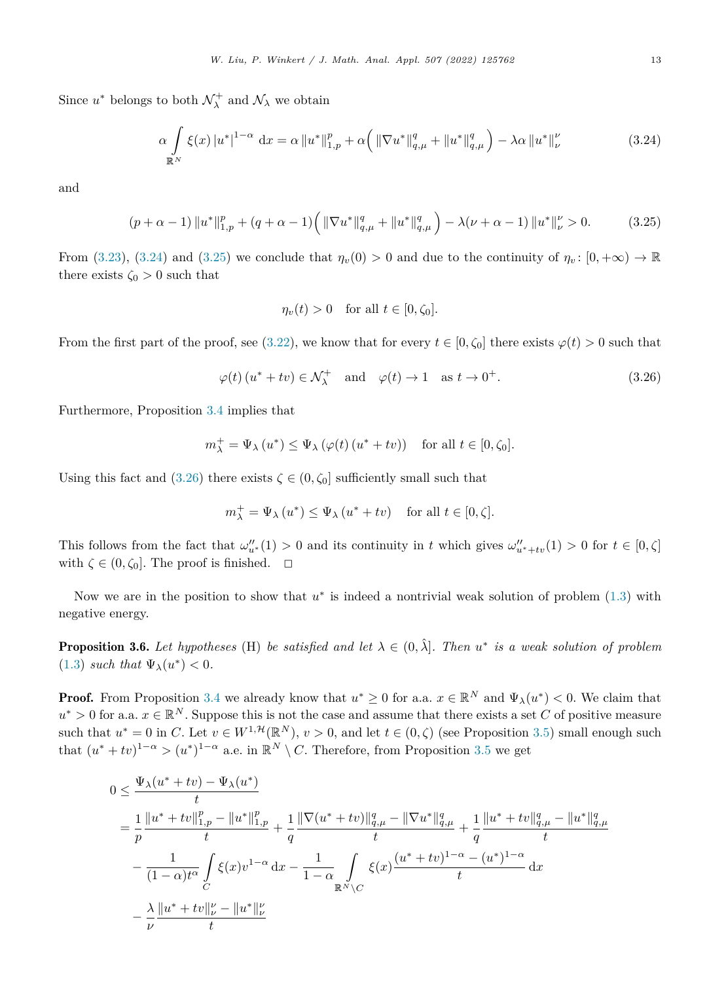<span id="page-12-0"></span>Since  $u^*$  belongs to both  $\mathcal{N}^+_{\lambda}$  and  $\mathcal{N}_{\lambda}$  we obtain

$$
\alpha \int_{\mathbb{R}^N} \xi(x) |u^*|^{1-\alpha} dx = \alpha \|u^*\|_{1,p}^p + \alpha \Big( \|\nabla u^*\|_{q,\mu}^q + \|u^*\|_{q,\mu}^q \Big) - \lambda \alpha \|u^*\|_{\nu}^p \tag{3.24}
$$

and

$$
(p + \alpha - 1) \|u^*\|_{1,p}^p + (q + \alpha - 1) \left( \|\nabla u^*\|_{q,\mu}^q + \|u^*\|_{q,\mu}^q \right) - \lambda(\nu + \alpha - 1) \|u^*\|_{\nu}^p > 0. \tag{3.25}
$$

From [\(3.23](#page-11-0)), (3.24) and (3.25) we conclude that  $\eta_v(0) > 0$  and due to the continuity of  $\eta_v: [0, +\infty) \to \mathbb{R}$ there exists  $\zeta_0 > 0$  such that

$$
\eta_v(t) > 0 \quad \text{for all } t \in [0, \zeta_0].
$$

From the first part of the proof, see ([3.22\)](#page-11-0), we know that for every  $t \in [0, \zeta_0]$  there exists  $\varphi(t) > 0$  such that

$$
\varphi(t) \left( u^* + tv \right) \in \mathcal{N}_{\lambda}^+ \quad \text{and} \quad \varphi(t) \to 1 \quad \text{as } t \to 0^+.
$$
 (3.26)

Furthermore, Proposition [3.4](#page-7-0) implies that

$$
m_{\lambda}^+ = \Psi_{\lambda}(u^*) \le \Psi_{\lambda}(\varphi(t)(u^* + tv))
$$
 for all  $t \in [0, \zeta_0]$ .

Using this fact and (3.26) there exists  $\zeta \in (0, \zeta_0]$  sufficiently small such that

$$
m_{\lambda}^+ = \Psi_{\lambda}(u^*) \le \Psi_{\lambda}(u^* + tv)
$$
 for all  $t \in [0, \zeta]$ .

This follows from the fact that  $\omega''_{u^*}(1) > 0$  and its continuity in *t* which gives  $\omega''_{u^*+tv}(1) > 0$  for  $t \in [0, \zeta]$ with  $\zeta \in (0, \zeta_0]$ . The proof is finished.  $\Box$ 

Now we are in the position to show that *u*<sup>∗</sup> is indeed a nontrivial weak solution of problem [\(1.3](#page-1-0)) with negative energy.

**Proposition 3.6.** Let hypotheses (H) be satisfied and let  $\lambda \in (0, \hat{\lambda}]$ . Then  $u^*$  is a weak solution of problem ([1.3\)](#page-1-0) *such that*  $\Psi_{\lambda}(u^{*}) < 0$ *.* 

**Proof.** From Proposition [3.4](#page-7-0) we already know that  $u^* \geq 0$  for a.a.  $x \in \mathbb{R}^N$  and  $\Psi_\lambda(u^*) < 0$ . We claim that  $u^* > 0$  for a.a.  $x \in \mathbb{R}^N$ . Suppose this is not the case and assume that there exists a set *C* of positive measure such that  $u^* = 0$  in *C*. Let  $v \in W^{1, \mathcal{H}}(\mathbb{R}^N)$ ,  $v > 0$ , and let  $t \in (0, \zeta)$  (see Proposition [3.5\)](#page-11-0) small enough such that  $(u^* + tv)^{1-\alpha} > (u^*)^{1-\alpha}$  a.e. in  $\mathbb{R}^N \setminus C$ . Therefore, from Proposition [3.5](#page-11-0) we get

$$
0 \leq \frac{\Psi_{\lambda}(u^* + tv) - \Psi_{\lambda}(u^*)}{t}
$$
  
\n
$$
= \frac{1}{p} \frac{\|u^* + tv\|_{1,p}^p - \|u^*\|_{1,p}^p}{t} + \frac{1}{q} \frac{\|\nabla(u^* + tv)\|_{q,\mu}^q - \|\nabla u^*\|_{q,\mu}^q}{t} + \frac{1}{q} \frac{\|u^* + tv\|_{q,\mu}^q - \|u^*\|_{q,\mu}^q}{t}
$$
  
\n
$$
- \frac{1}{(1-\alpha)t^{\alpha}} \int_C \xi(x)v^{1-\alpha} dx - \frac{1}{1-\alpha} \int_{\mathbb{R}^N \backslash C} \xi(x) \frac{(u^* + tv)^{1-\alpha} - (u^*)^{1-\alpha}}{t} dx
$$
  
\n
$$
- \frac{\lambda}{\nu} \frac{\|u^* + tv\|_{\nu}^{\nu} - \|u^*\|_{\nu}^{\nu}}{t}
$$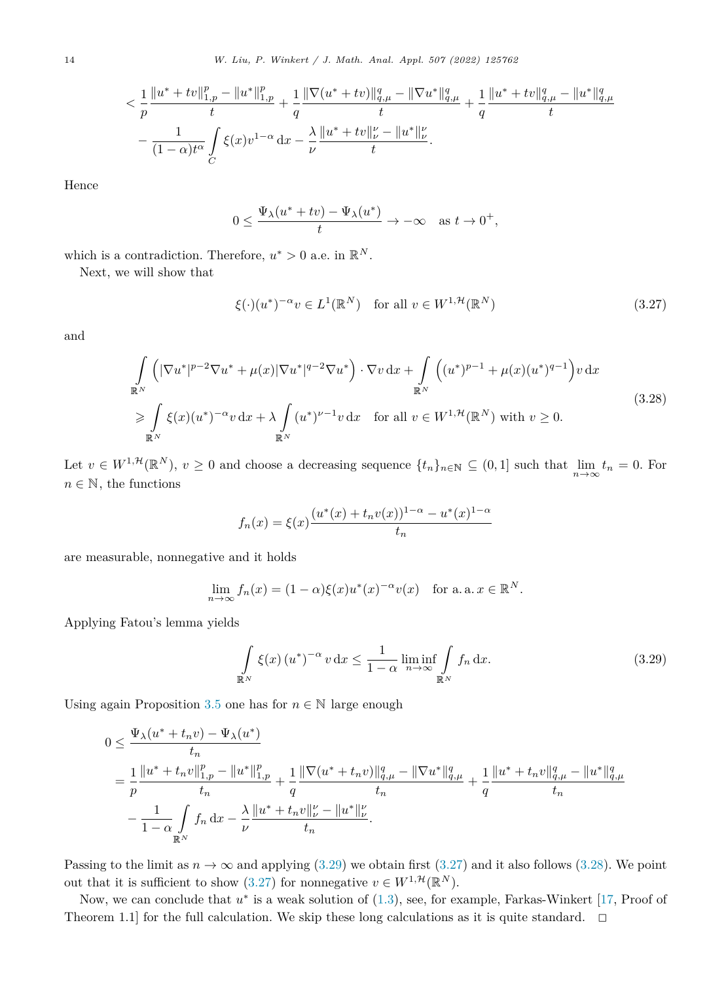<span id="page-13-0"></span>
$$
< \frac{1}{p} \frac{\|u^* + tv\|_{1,p}^p - \|u^*\|_{1,p}^p}{t} + \frac{1}{q} \frac{\|\nabla (u^* + tv)\|_{q,\mu}^q - \|\nabla u^*\|_{q,\mu}^q}{t} + \frac{1}{q} \frac{\|u^* + tv\|_{q,\mu}^q - \|u^*\|_{q,\mu}^q}{t} \\ - \frac{1}{(1-\alpha)t^\alpha} \int\limits_C \xi(x) v^{1-\alpha} \,\mathrm{d}x - \frac{\lambda}{\nu} \frac{\|u^* + tv\|_{\nu}^{\nu} - \|u^*\|_{\nu}^{\nu}}{t}.
$$

Hence

$$
0 \le \frac{\Psi_{\lambda}(u^* + tv) - \Psi_{\lambda}(u^*)}{t} \to -\infty \quad \text{as } t \to 0^+,
$$

which is a contradiction. Therefore,  $u^* > 0$  a.e. in  $\mathbb{R}^N$ .

Next, we will show that

$$
\xi(\cdot)(u^*)^{-\alpha}v \in L^1(\mathbb{R}^N) \quad \text{for all } v \in W^{1,\mathcal{H}}(\mathbb{R}^N)
$$
\n(3.27)

and

$$
\int_{\mathbb{R}^N} \left( |\nabla u^*|^{p-2} \nabla u^* + \mu(x) |\nabla u^*|^{q-2} \nabla u^* \right) \cdot \nabla v \, dx + \int_{\mathbb{R}^N} \left( (u^*)^{p-1} + \mu(x) (u^*)^{q-1} \right) v \, dx
$$
\n
$$
\geq \int_{\mathbb{R}^N} \xi(x) (u^*)^{-\alpha} v \, dx + \lambda \int_{\mathbb{R}^N} (u^*)^{\nu-1} v \, dx \quad \text{for all } v \in W^{1,\mathcal{H}}(\mathbb{R}^N) \text{ with } v \geq 0.
$$
\n(3.28)

Let  $v \in W^{1,\mathcal{H}}(\mathbb{R}^N)$ ,  $v \ge 0$  and choose a decreasing sequence  $\{t_n\}_{n \in \mathbb{N}} \subseteq (0,1]$  such that  $\lim_{n \to \infty} t_n = 0$ . For  $n \in \mathbb{N}$ , the functions

$$
f_n(x) = \xi(x) \frac{(u^*(x) + t_n v(x))^{1-\alpha} - u^*(x)^{1-\alpha}}{t_n}
$$

are measurable, nonnegative and it holds

$$
\lim_{n \to \infty} f_n(x) = (1 - \alpha) \xi(x) u^*(x)^{-\alpha} v(x) \quad \text{for a. a. } x \in \mathbb{R}^N.
$$

Applying Fatou's lemma yields

$$
\int_{\mathbb{R}^N} \xi(x) (u^*)^{-\alpha} v \, dx \le \frac{1}{1 - \alpha} \liminf_{n \to \infty} \int_{\mathbb{R}^N} f_n \, dx.
$$
\n(3.29)

Using again Proposition [3.5](#page-11-0) one has for  $n \in \mathbb{N}$  large enough

$$
0 \leq \frac{\Psi_{\lambda}(u^* + t_n v) - \Psi_{\lambda}(u^*)}{t_n}
$$
  
= 
$$
\frac{1}{p} \frac{\|u^* + t_n v\|_{1,p}^p - \|u^*\|_{1,p}^p}{t_n} + \frac{1}{q} \frac{\|\nabla(u^* + t_n v)\|_{q,\mu}^q - \|\nabla u^*\|_{q,\mu}^q}{t_n} + \frac{1}{q} \frac{\|u^* + t_n v\|_{q,\mu}^q - \|u^*\|_{q,\mu}^q}{t_n}
$$
  

$$
- \frac{1}{1-\alpha} \int_{\mathbb{R}^N} f_n dx - \frac{\lambda}{\nu} \frac{\|u^* + t_n v\|_{\nu}^{\nu} - \|u^*\|_{\nu}^q}{t_n}.
$$

Passing to the limit as  $n \to \infty$  and applying (3.29) we obtain first (3.27) and it also follows (3.28). We point out that it is sufficient to show (3.27) for nonnegative  $v \in W^{1,\mathcal{H}}(\mathbb{R}^N)$ .

Now, we can conclude that *u*<sup>∗</sup> is a weak solution of [\(1.3](#page-1-0)), see, for example, Farkas-Winkert [\[17](#page-17-0), Proof of Theorem 1.1] for the full calculation. We skip these long calculations as it is quite standard.  $\Box$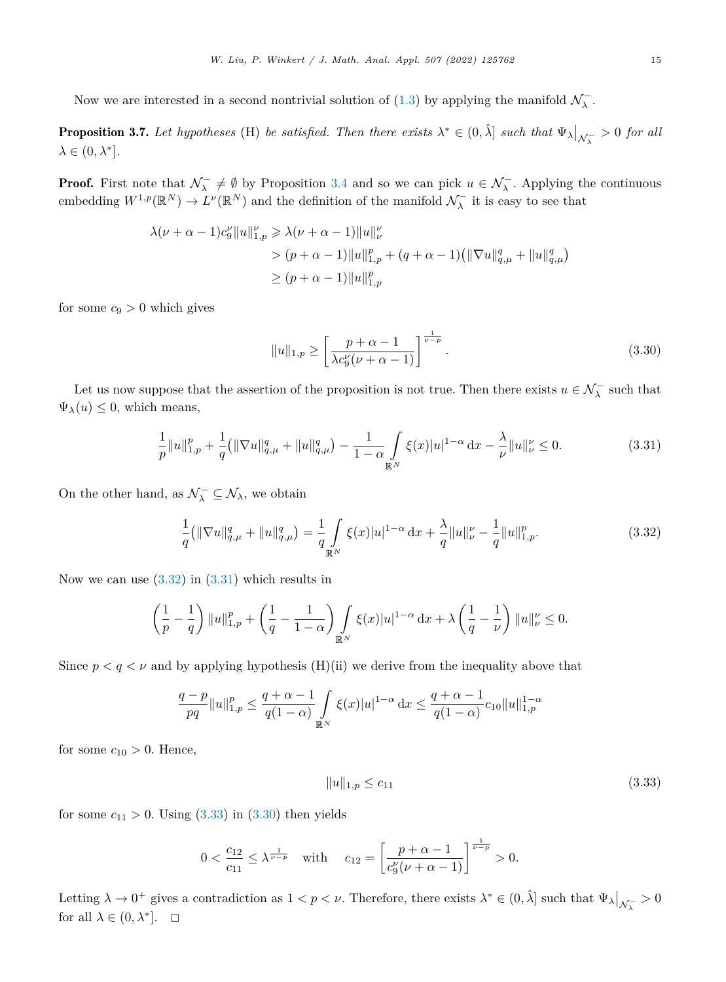<span id="page-14-0"></span>Now we are interested in a second nontrivial solution of  $(1.3)$  $(1.3)$  by applying the manifold  $\mathcal{N}_{\lambda}^-$ .

**Proposition 3.7.** Let hypotheses (H) be satisfied. Then there exists  $\lambda^* \in (0, \hat{\lambda}]$  such that  $\Psi_{\lambda}|_{\mathcal{N}_{\lambda}} > 0$  for all  $\lambda \in (0, \lambda^*]$ .

**Proof.** First note that  $\mathcal{N}_{\lambda}^- \neq \emptyset$  by Proposition [3.4](#page-7-0) and so we can pick  $u \in \mathcal{N}_{\lambda}^-$ . Applying the continuous embedding  $W^{1,p}(\mathbb{R}^N) \to L^{\nu}(\mathbb{R}^N)$  and the definition of the manifold  $\mathcal{N}_{\lambda}^-$  it is easy to see that

$$
\lambda(\nu + \alpha - 1)c_9^{\nu} \|u\|_{1,p}^{\nu} \ge \lambda(\nu + \alpha - 1) \|u\|_{\nu}^{\nu}
$$
  
> 
$$
(p + \alpha - 1) \|u\|_{1,p}^p + (q + \alpha - 1) (\|\nabla u\|_{q,\mu}^q + \|u\|_{q,\mu}^q)
$$
  

$$
\ge (p + \alpha - 1) \|u\|_{1,p}^p
$$

for some  $c_9 > 0$  which gives

$$
||u||_{1,p} \ge \left[\frac{p+\alpha-1}{\lambda c_9^{\nu}(\nu+\alpha-1)}\right]^{\frac{1}{\nu-p}}.
$$
\n(3.30)

Let us now suppose that the assertion of the proposition is not true. Then there exists  $u \in \mathcal{N}_{\lambda}^-$  such that  $\Psi_{\lambda}(u) \leq 0$ , which means,

$$
\frac{1}{p}||u||_{1,p}^p + \frac{1}{q} (||\nabla u||_{q,\mu}^q + ||u||_{q,\mu}^q) - \frac{1}{1-\alpha} \int_{\mathbb{R}^N} \xi(x)|u|^{1-\alpha} dx - \frac{\lambda}{\nu} ||u||_{\nu}^p \le 0.
$$
\n(3.31)

On the other hand, as  $\mathcal{N}_{\lambda}^{-} \subseteq \mathcal{N}_{\lambda}$ , we obtain

$$
\frac{1}{q}(\|\nabla u\|_{q,\mu}^q + \|u\|_{q,\mu}^q) = \frac{1}{q} \int\limits_{\mathbb{R}^N} \xi(x)|u|^{1-\alpha} \, \mathrm{d}x + \frac{\lambda}{q} \|u\|_{\nu}^p - \frac{1}{q} \|u\|_{1,p}^p. \tag{3.32}
$$

Now we can use  $(3.32)$  in  $(3.31)$  which results in

$$
\left(\frac{1}{p} - \frac{1}{q}\right) \|u\|_{1,p}^p + \left(\frac{1}{q} - \frac{1}{1-\alpha}\right) \int_{\mathbb{R}^N} \xi(x)|u|^{1-\alpha} \, \mathrm{d}x + \lambda \left(\frac{1}{q} - \frac{1}{\nu}\right) \|u\|_{\nu}^p \le 0.
$$

Since  $p < q < \nu$  and by applying hypothesis (H)(ii) we derive from the inequality above that

$$
\frac{q-p}{pq} \|u\|_{1,p}^p \leq \frac{q+\alpha-1}{q(1-\alpha)} \int\limits_{\mathbb{R}^N} \xi(x) |u|^{1-\alpha} \, \mathrm{d}x \leq \frac{q+\alpha-1}{q(1-\alpha)} c_{10} \|u\|_{1,p}^{1-\alpha}
$$

for some  $c_{10} > 0$ . Hence,

$$
||u||_{1,p} \le c_{11} \tag{3.33}
$$

for some  $c_{11} > 0$ . Using  $(3.33)$  in  $(3.30)$  then yields

$$
0 < \frac{c_{12}}{c_{11}} \le \lambda^{\frac{1}{\nu - p}} \quad \text{with} \quad c_{12} = \left[ \frac{p + \alpha - 1}{c_9^{\nu}(\nu + \alpha - 1)} \right]^{\frac{1}{\nu - p}} > 0.
$$

Letting  $\lambda \to 0^+$  gives a contradiction as  $1 < p < \nu$ . Therefore, there exists  $\lambda^* \in (0, \hat{\lambda}]$  such that  $\Psi_{\lambda}|_{\mathcal{N}_{\lambda}} > 0$ for all  $\lambda \in (0, \lambda^*]$ .  $\Box$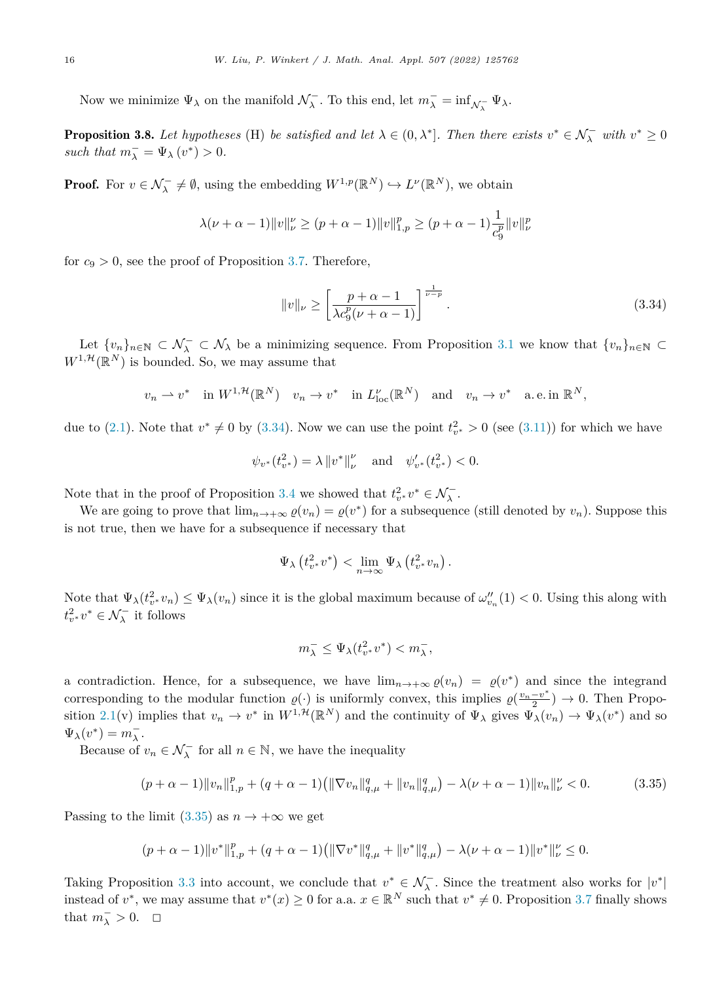<span id="page-15-0"></span>Now we minimize  $\Psi_{\lambda}$  on the manifold  $\mathcal{N}_{\lambda}^-$ . To this end, let  $m_{\lambda}^- = \inf_{\mathcal{N}_{\lambda}^-} \Psi_{\lambda}$ .

**Proposition 3.8.** Let hypotheses (H) be satisfied and let  $\lambda \in (0, \lambda^*]$ . Then there exists  $v^* \in \mathcal{N}_{\lambda}^-$  with  $v^* \ge 0$ *such that*  $m_{\lambda}^- = \Psi_{\lambda} (v^*) > 0$ *.* 

**Proof.** For  $v \in \mathcal{N}_{\lambda}^- \neq \emptyset$ , using the embedding  $W^{1,p}(\mathbb{R}^N) \hookrightarrow L^{\nu}(\mathbb{R}^N)$ , we obtain

$$
\lambda(\nu+\alpha-1) \|v\|_{\nu}^{\nu} \ge (p+\alpha-1) \|v\|_{1,p}^p \ge (p+\alpha-1) \frac{1}{c_9^p} \|v\|_{\nu}^p
$$

for  $c_9 > 0$ , see the proof of Proposition [3.7](#page-14-0). Therefore,

$$
||v||_{\nu} \ge \left[\frac{p+\alpha-1}{\lambda c_9^p(\nu+\alpha-1)}\right]^{\frac{1}{\nu-p}}.
$$
\n(3.34)

Let  $\{v_n\}_{n\in\mathbb{N}}\subset\mathcal{N}_\lambda\subset\mathcal{N}_\lambda$  be a minimizing sequence. From Proposition [3.1](#page-5-0) we know that  $\{v_n\}_{n\in\mathbb{N}}\subset\mathcal{N}_\lambda$  $W^{1,\mathcal{H}}(\mathbb{R}^N)$  is bounded. So, we may assume that

$$
v_n \rightharpoonup v^*
$$
 in  $W^{1,\mathcal{H}}(\mathbb{R}^N)$   $v_n \rightharpoonup v^*$  in  $L^{\nu}_{loc}(\mathbb{R}^N)$  and  $v_n \rightharpoonup v^*$  a.e. in  $\mathbb{R}^N$ ,

due to  $(2.1)$ . Note that  $v^* \neq 0$  by  $(3.34)$ . Now we can use the point  $t_{v^*}^2 > 0$  (see  $(3.11)$  $(3.11)$ ) for which we have

$$
\psi_{v^*}(t_{v^*}^2) = \lambda \|v^*\|_{\nu}^{\nu}
$$
 and  $\psi_{v^*}'(t_{v^*}^2) < 0$ .

Note that in the proof of Proposition [3.4](#page-7-0) we showed that  $t^2_{v^*}v^* \in \mathcal{N}_\lambda^-$ .

We are going to prove that  $\lim_{n\to+\infty} \varrho(v_n) = \varrho(v^*)$  for a subsequence (still denoted by  $v_n$ ). Suppose this is not true, then we have for a subsequence if necessary that

$$
\Psi_{\lambda}\left(t_{v^*}^2v^*\right) < \lim_{n \to \infty} \Psi_{\lambda}\left(t_{v^*}^2v_n\right).
$$

Note that  $\Psi_{\lambda}(t_v^2, v_n) \le \Psi_{\lambda}(v_n)$  since it is the global maximum because of  $\omega_{v_n}''(1) < 0$ . Using this along with  $t_v^2 v^* \in \mathcal{N}_\lambda^-$  it follows

$$
m_{\lambda}^- \leq \Psi_{\lambda}(t_{v^*}^2 v^*) < m_{\lambda}^-,
$$

a contradiction. Hence, for a subsequence, we have  $\lim_{n\to+\infty} \varrho(v_n) = \varrho(v^*)$  and since the integrand corresponding to the modular function  $\varrho(\cdot)$  is uniformly convex, this implies  $\varrho(\frac{v_n-v^*}{2}) \to 0$ . Then Propo-sition [2.1\(](#page-4-0)v) implies that  $v_n \to v^*$  in  $W^{1,\mathcal{H}}(\mathbb{R}^N)$  and the continuity of  $\Psi_\lambda$  gives  $\Psi_\lambda(v_n) \to \Psi_\lambda(v^*)$  and so  $\Psi_{\lambda}(v^*) = m_{\lambda}^-$ .

Because of  $v_n \in \mathcal{N}_\lambda^-$  for all  $n \in \mathbb{N}$ , we have the inequality

$$
(p+\alpha-1) \|v_n\|_{1,p}^p + (q+\alpha-1) \left( \|\nabla v_n\|_{q,\mu}^q + \|v_n\|_{q,\mu}^q \right) - \lambda(\nu+\alpha-1) \|v_n\|_{\nu}^p < 0. \tag{3.35}
$$

Passing to the limit  $(3.35)$  as  $n \to +\infty$  we get

$$
(p+\alpha-1)\|v^*\|_{1,p}^p+(q+\alpha-1)\left(\|\nabla v^*\|_{q,\mu}^q+\|v^*\|_{q,\mu}^q\right)-\lambda(\nu+\alpha-1)\|v^*\|_{\nu}^{\nu}\leq 0.
$$

Taking Proposition [3.3](#page-6-0) into account, we conclude that  $v^* \in \mathcal{N}_{\lambda}^-$ . Since the treatment also works for  $|v^*|$ instead of  $v^*$ , we may assume that  $v^*(x) \geq 0$  for a.a.  $x \in \mathbb{R}^N$  such that  $v^* \neq 0$ . Proposition [3.7](#page-14-0) finally shows that  $m_{\lambda}^- > 0$ .  $\Box$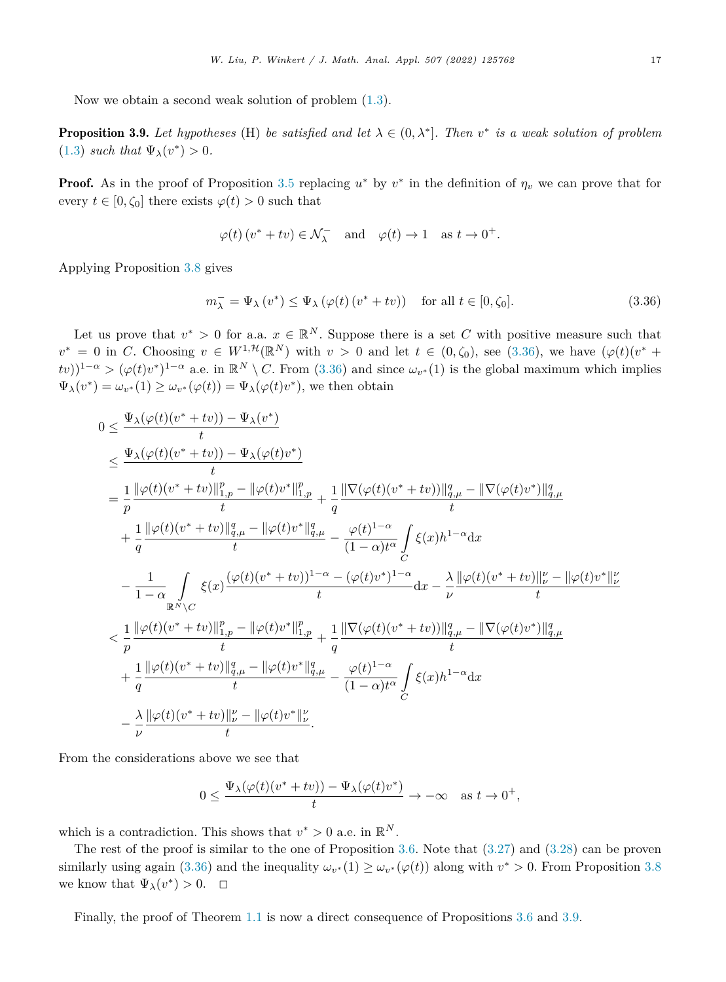Now we obtain a second weak solution of problem [\(1.3\)](#page-1-0).

**Proposition 3.9.** Let hypotheses (H) be satisfied and let  $\lambda \in (0, \lambda^*]$ . Then  $v^*$  is a weak solution of problem  $(1.3)$  $(1.3)$  *such that*  $\Psi_{\lambda}(v^*) > 0$ .

**Proof.** As in the proof of Proposition [3.5](#page-11-0) replacing  $u^*$  by  $v^*$  in the definition of  $\eta_v$  we can prove that for every  $t \in [0, \zeta_0]$  there exists  $\varphi(t) > 0$  such that

$$
\varphi(t) (v^* + tv) \in \mathcal{N}_{\lambda}^-
$$
 and  $\varphi(t) \to 1$  as  $t \to 0^+$ .

Applying Proposition [3.8](#page-15-0) gives

$$
m_{\lambda}^{-} = \Psi_{\lambda} \left( v^{*} \right) \leq \Psi_{\lambda} \left( \varphi(t) \left( v^{*} + tv \right) \right) \quad \text{for all } t \in [0, \zeta_{0}]. \tag{3.36}
$$

Let us prove that  $v^* > 0$  for a.a.  $x \in \mathbb{R}^N$ . Suppose there is a set *C* with positive measure such that  $v^* = 0$  in *C*. Choosing  $v \in W^{1, \mathcal{H}}(\mathbb{R}^N)$  with  $v > 0$  and let  $t \in (0, \zeta_0)$ , see (3.36), we have  $(\varphi(t)(v^* +$  $f(v)$ <sup>1-*α*</sup> > ( $\varphi(t)v^*$ )<sup>1-*α*</sup> a.e. in  $\mathbb{R}^N \setminus C$ . From (3.36) and since  $\omega_{v^*}(1)$  is the global maximum which implies  $\Psi_{\lambda}(v^*) = \omega_{v^*}(1) \geq \omega_{v^*}(\varphi(t)) = \Psi_{\lambda}(\varphi(t)v^*)$ , we then obtain

$$
0 \leq \frac{\Psi_{\lambda}(\varphi(t)(v^* + tv)) - \Psi_{\lambda}(v^*)}{t} \n\leq \frac{\Psi_{\lambda}(\varphi(t)(v^* + tv)) - \Psi_{\lambda}(\varphi(t)v^*)}{t} \n= \frac{1}{p} \frac{\|\varphi(t)(v^* + tv)\|_{1,p}^p - \|\varphi(t)v^*\|_{1,p}^p}{t} + \frac{1}{q} \frac{\|\nabla(\varphi(t)(v^* + tv))\|_{q,\mu}^q - \|\nabla(\varphi(t)v^*)\|_{q,\mu}^q}{t} \n+ \frac{1}{q} \frac{\|\varphi(t)(v^* + tv)\|_{q,\mu}^q - \|\varphi(t)v^*\|_{q,\mu}^q}{t} - \frac{\varphi(t)^{1-\alpha}}{(1-\alpha)t^{\alpha}} \int_{C} \xi(x)h^{1-\alpha} dx \n- \frac{1}{1-\alpha} \int_{\mathbb{R}^N \setminus C} \xi(x) \frac{(\varphi(t)(v^* + tv))^{1-\alpha} - (\varphi(t)v^*)^{1-\alpha}}{t} dx - \frac{\lambda}{\nu} \frac{\|\varphi(t)(v^* + tv)\|_{\nu}^{\nu} - \|\varphi(t)v^*\|_{\nu}^{\nu}}{t} \n< \frac{1}{p} \frac{\|\varphi(t)(v^* + tv)\|_{1,p}^p - \|\varphi(t)v^*\|_{1,p}^p}{t} + \frac{1}{q} \frac{\|\nabla(\varphi(t)(v^* + tv))\|_{q,\mu}^q - \|\nabla(\varphi(t)v^*)\|_{q,\mu}^q}{t} \n+ \frac{1}{q} \frac{\|\varphi(t)(v^* + tv)\|_{q,\mu}^q - \|\varphi(t)v^*\|_{q,\mu}^q}{t} - \frac{\varphi(t)^{1-\alpha}}{(1-\alpha)t^{\alpha}} \int_{C} \xi(x)h^{1-\alpha} dx \n- \frac{\lambda}{\nu} \frac{\|\varphi(t)(v^* + tv)\|_{\nu}^{\nu} - \|\varphi(t)v^*\|_{\nu}^{\nu}}{t}.
$$

From the considerations above we see that

$$
0 \le \frac{\Psi_{\lambda}(\varphi(t)(v^* + tv)) - \Psi_{\lambda}(\varphi(t)v^*)}{t} \to -\infty \quad \text{as } t \to 0^+,
$$

which is a contradiction. This shows that  $v^* > 0$  a.e. in  $\mathbb{R}^N$ .

The rest of the proof is similar to the one of Proposition [3.6.](#page-12-0) Note that [\(3.27](#page-13-0)) and ([3.28\)](#page-13-0) can be proven similarly using again (3.36) and the inequality  $\omega_{v^*}(1) \geq \omega_{v^*}(\varphi(t))$  along with  $v^* > 0$ . From Proposition [3.8](#page-15-0) we know that  $\Psi_{\lambda}(v^*) > 0$ .  $\Box$ 

Finally, the proof of Theorem [1.1](#page-1-0) is now a direct consequence of Propositions [3.6](#page-12-0) and 3.9.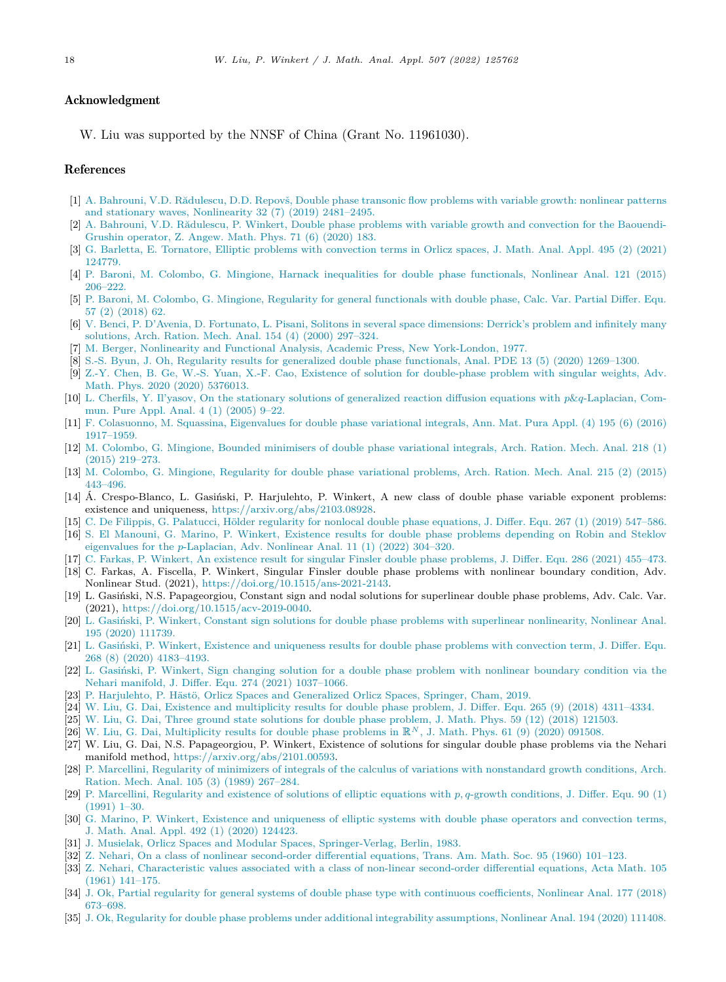### <span id="page-17-0"></span>Acknowledgment

W. Liu was supported by the NNSF of China (Grant No. 11961030).

### References

- [1] A. Bahrouni, V.D. [Rădulescu,](http://refhub.elsevier.com/S0022-247X(21)00841-6/bibA1F73E2C700372029EBE1731D09913CEs1) D.D. Repovš, Double phase transonic flow problems with variable growth: nonlinear patterns and stationary waves, [Nonlinearity](http://refhub.elsevier.com/S0022-247X(21)00841-6/bibA1F73E2C700372029EBE1731D09913CEs1) 32 (7) (2019) 2481–2495.
- [2] A. Bahrouni, V.D. [Rădulescu,](http://refhub.elsevier.com/S0022-247X(21)00841-6/bib4B1E9B7C07A4A09BCFA655D15DC5A362s1) P. Winkert, Double phase problems with variable growth and convection for the Baouendi-Grushin [operator,](http://refhub.elsevier.com/S0022-247X(21)00841-6/bib4B1E9B7C07A4A09BCFA655D15DC5A362s1) Z. Angew. Math. Phys. 71 (6) (2020) 183.
- [3] G. Barletta, E. [Tornatore,](http://refhub.elsevier.com/S0022-247X(21)00841-6/bib6281C3B784416F63F919945AC757565Cs1) Elliptic problems with convection terms in Orlicz spaces, J. Math. Anal. Appl. 495 (2) (2021) [124779.](http://refhub.elsevier.com/S0022-247X(21)00841-6/bib6281C3B784416F63F919945AC757565Cs1)
- [4] P. Baroni, M. Colombo, G. Mingione, Harnack inequalities for double phase [functionals,](http://refhub.elsevier.com/S0022-247X(21)00841-6/bib8B1C3E8D71D67FEBEFF684812E2710F3s1) Nonlinear Anal. 121 (2015) [206–222.](http://refhub.elsevier.com/S0022-247X(21)00841-6/bib8B1C3E8D71D67FEBEFF684812E2710F3s1)
- [5] P. Baroni, M. Colombo, G. Mingione, Regularity for general [functionals](http://refhub.elsevier.com/S0022-247X(21)00841-6/bibB24C49D8440ED993BC2B4769467DD68Es1) with double phase, Calc. Var. Partial Differ. Equ. 57 (2) [\(2018\)](http://refhub.elsevier.com/S0022-247X(21)00841-6/bibB24C49D8440ED993BC2B4769467DD68Es1) 62.
- [6] V. Benci, P. D'Avenia, D. Fortunato, L. Pisani, Solitons in several space [dimensions:](http://refhub.elsevier.com/S0022-247X(21)00841-6/bib38BA33741B03DD05D1BE044D933C0E5Es1) Derrick's problem and infinitely many [solutions,](http://refhub.elsevier.com/S0022-247X(21)00841-6/bib38BA33741B03DD05D1BE044D933C0E5Es1) Arch. Ration. Mech. Anal. 154 (4) (2000) 297–324.
- [7] M. Berger, Nonlinearity and Functional Analysis, Academic Press, New [York-London,](http://refhub.elsevier.com/S0022-247X(21)00841-6/bib00A3AB605FD9FCD12AF8357958406896s1) 1977.
- [8] S.-S. Byun, J. Oh, Regularity results for generalized double phase [functionals,](http://refhub.elsevier.com/S0022-247X(21)00841-6/bibADB25ABF46BBDABD69EBC6016643313Cs1) Anal. PDE 13 (5) (2020) 1269–1300.
- [9] Z.-Y. Chen, B. Ge, W.-S. Yuan, X.-F. Cao, Existence of solution for [double-phase](http://refhub.elsevier.com/S0022-247X(21)00841-6/bibB1A47FE504A8F2A78B0016B66C50AC08s1) problem with singular weights, Adv. Math. Phys. 2020 (2020) [5376013.](http://refhub.elsevier.com/S0022-247X(21)00841-6/bibB1A47FE504A8F2A78B0016B66C50AC08s1)
- [10] L. Cherfils, Y. Il'yasov, On the stationary solutions of generalized reaction diffusion equations with *p*&*q*[-Laplacian,](http://refhub.elsevier.com/S0022-247X(21)00841-6/bib5251F6AE4F3A597FB5DFB2260BE1E25As1) Commun. Pure Appl. Anal. 4 (1) [\(2005\)](http://refhub.elsevier.com/S0022-247X(21)00841-6/bib5251F6AE4F3A597FB5DFB2260BE1E25As1) 9–22.
- [11] F. [Colasuonno,](http://refhub.elsevier.com/S0022-247X(21)00841-6/bib39ADCCE93F1637A6293526A0A3FE859As1) M. Squassina, Eigenvalues for double phase variational integrals, Ann. Mat. Pura Appl. (4) 195 (6) (2016) [1917–1959.](http://refhub.elsevier.com/S0022-247X(21)00841-6/bib39ADCCE93F1637A6293526A0A3FE859As1)
- [12] M. Colombo, G. Mingione, Bounded [minimisers](http://refhub.elsevier.com/S0022-247X(21)00841-6/bibF5AB333105B1BECCF369EE202DB65297s1) of double phase variational integrals, Arch. Ration. Mech. Anal. 218 (1) (2015) [219–273.](http://refhub.elsevier.com/S0022-247X(21)00841-6/bibF5AB333105B1BECCF369EE202DB65297s1)
- [13] M. Colombo, G. Mingione, Regularity for double phase [variational](http://refhub.elsevier.com/S0022-247X(21)00841-6/bibF3818D8141B6F543EE00D360DD1CFC58s1) problems, Arch. Ration. Mech. Anal. 215 (2) (2015) [443–496.](http://refhub.elsevier.com/S0022-247X(21)00841-6/bibF3818D8141B6F543EE00D360DD1CFC58s1)
- [14] Á. Crespo-Blanco, L. Gasiński, P. Harjulehto, P. Winkert, A new class of double phase variable exponent problems: existence and uniqueness, [https://arxiv.org/abs/2103.08928.](https://arxiv.org/abs/2103.08928)
- [15] C. De Filippis, G. Palatucci, Hölder regularity for nonlocal double phase [equations,](http://refhub.elsevier.com/S0022-247X(21)00841-6/bib970C38F45B801D7847B08F5087DC1610s1) J. Differ. Equ. 267 (1) (2019) 547–586.
- [16] S. El Manouni, G. Marino, P. Winkert, Existence results for double phase problems [depending](http://refhub.elsevier.com/S0022-247X(21)00841-6/bibC8BFC6D6CA14ACE099ABD69962553711s1) on Robin and Steklov eigenvalues for the *p*[-Laplacian,](http://refhub.elsevier.com/S0022-247X(21)00841-6/bibC8BFC6D6CA14ACE099ABD69962553711s1) Adv. Nonlinear Anal. 11 (1) (2022) 304–320.
- [17] C. Farkas, P. Winkert, An existence result for singular Finsler double phase [problems,](http://refhub.elsevier.com/S0022-247X(21)00841-6/bibA10D5F9EDB973900BEDC8FF825FC40ECs1) J. Differ. Equ. 286 (2021) 455–473.
- [18] C. Farkas, A. Fiscella, P. Winkert, Singular Finsler double phase problems with nonlinear boundary condition, Adv. Nonlinear Stud. (2021), [https://doi.org/10.1515/ans-2021-2143.](https://doi.org/10.1515/ans-2021-2143)
- [19] L. Gasiński, N.S. Papageorgiou, Constant sign and nodal solutions for superlinear double phase problems, Adv. Calc. Var. (2021), <https://doi.org/10.1515/acv-2019-0040>.
- [20] L. Gasiński, P. Winkert, Constant sign solutions for double phase problems with superlinear [nonlinearity,](http://refhub.elsevier.com/S0022-247X(21)00841-6/bib754C982463FADCD2E58BDE6D76C2F6F4s1) Nonlinear Anal. 195 (2020) [111739.](http://refhub.elsevier.com/S0022-247X(21)00841-6/bib754C982463FADCD2E58BDE6D76C2F6F4s1)
- [21] L. Gasiński, P. Winkert, Existence and [uniqueness](http://refhub.elsevier.com/S0022-247X(21)00841-6/bibE049B05C7F917C86F6B0170FFB127F39s1) results for double phase problems with convection term, J. Differ. Equ. 268 (8) (2020) [4183–4193.](http://refhub.elsevier.com/S0022-247X(21)00841-6/bibE049B05C7F917C86F6B0170FFB127F39s1)
- [22] L. Gasiński, P. Winkert, Sign changing solution for a double phase problem with nonlinear [boundary](http://refhub.elsevier.com/S0022-247X(21)00841-6/bib8ED66C7CB62BC93428DADF80EBD1F433s1) condition via the Nehari manifold, J. Differ. Equ. 274 (2021) [1037–1066.](http://refhub.elsevier.com/S0022-247X(21)00841-6/bib8ED66C7CB62BC93428DADF80EBD1F433s1)
- [23] P. Harjulehto, P. Hästö, Orlicz Spaces and [Generalized](http://refhub.elsevier.com/S0022-247X(21)00841-6/bibA02BC58A3CD97A52285914AE4BAC67FFs1) Orlicz Spaces, Springer, Cham, 2019.
- [24] W. Liu, G. Dai, Existence and [multiplicity](http://refhub.elsevier.com/S0022-247X(21)00841-6/bibB61C2838707CF19588F49A350475076Fs1) results for double phase problem, J. Differ. Equ. 265 (9) (2018) 4311–4334.
- [25] W. Liu, G. Dai, Three ground state [solutions](http://refhub.elsevier.com/S0022-247X(21)00841-6/bib183EC4D7B0E2021BF1AF494071D8DDCBs1) for double phase problem, J. Math. Phys. 59 (12) (2018) 121503.
- [26] W. Liu, G. Dai, [Multiplicity](http://refhub.elsevier.com/S0022-247X(21)00841-6/bibD588331561620FB2561F7FCD587591C8s1) results for double phase problems in  $\mathbb{R}^N$ , J. Math. Phys. 61 (9) (2020) 091508.
- [27] W. Liu, G. Dai, N.S. Papageorgiou, P. Winkert, Existence of solutions for singular double phase problems via the Nehari manifold method, [https://arxiv.org/abs/2101.00593.](https://arxiv.org/abs/2101.00593)
- [28] P. Marcellini, Regularity of minimizers of integrals of the calculus of variations with [nonstandard](http://refhub.elsevier.com/S0022-247X(21)00841-6/bib8E656B91D3CFC7069EDFA34189B3C974s1) growth conditions, Arch. Ration. Mech. Anal. 105 (3) (1989) [267–284.](http://refhub.elsevier.com/S0022-247X(21)00841-6/bib8E656B91D3CFC7069EDFA34189B3C974s1)
- [29] P. Marcellini, Regularity and existence of solutions of elliptic equations with *p, q*-growth [conditions,](http://refhub.elsevier.com/S0022-247X(21)00841-6/bib620DCCFBC15E31D4ABEC002E9BA9B683s1) J. Differ. Equ. 90 (1) [\(1991\)](http://refhub.elsevier.com/S0022-247X(21)00841-6/bib620DCCFBC15E31D4ABEC002E9BA9B683s1) 1–30.
- [30] G. Marino, P. Winkert, Existence and [uniqueness](http://refhub.elsevier.com/S0022-247X(21)00841-6/bib7A2B2C8046EBDCB22855DB28D2BD573Es1) of elliptic systems with double phase operators and convection terms, J. Math. Anal. Appl. 492 (1) (2020) [124423.](http://refhub.elsevier.com/S0022-247X(21)00841-6/bib7A2B2C8046EBDCB22855DB28D2BD573Es1)
- [31] J. Musielak, Orlicz Spaces and Modular Spaces, [Springer-Verlag,](http://refhub.elsevier.com/S0022-247X(21)00841-6/bib6EDC75EAF827CF1E4172B0AB0D0702F6s1) Berlin, 1983.
- [32] Z. Nehari, On a class of nonlinear [second-order](http://refhub.elsevier.com/S0022-247X(21)00841-6/bib78002CFE91AB3B130B8C91E3EAD12EA2s1) differential equations, Trans. Am. Math. Soc. 95 (1960) 101–123.
- [33] Z. Nehari, [Characteristic](http://refhub.elsevier.com/S0022-247X(21)00841-6/bib3FDF2D4BDF84CE3548B704F66DB1340Fs1) values associated with a class of non-linear second-order differential equations, Acta Math. 105 (1961) [141–175.](http://refhub.elsevier.com/S0022-247X(21)00841-6/bib3FDF2D4BDF84CE3548B704F66DB1340Fs1)
- [34] J. Ok, Partial regularity for general systems of double phase type with continuous [coefficients,](http://refhub.elsevier.com/S0022-247X(21)00841-6/bibA4D654C14F37DE4E75D656E9A4FC101Cs1) Nonlinear Anal. 177 (2018) [673–698.](http://refhub.elsevier.com/S0022-247X(21)00841-6/bibA4D654C14F37DE4E75D656E9A4FC101Cs1)
- [35] J. Ok, Regularity for double phase problems under additional integrability [assumptions,](http://refhub.elsevier.com/S0022-247X(21)00841-6/bib9C213F7CAE31A9ED793404423B01EF72s1) Nonlinear Anal. 194 (2020) 111408.